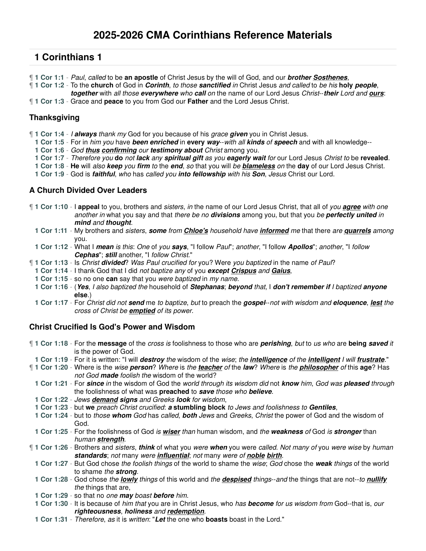- ¶ **1 Cor 1:1** Paul, called to be **an apostle** of Christ Jesus by the will of God, and our **brother Sosthenes**,
- ¶ **1 Cor 1:2** To the **church** of God in **Corinth**, to those **sanctified** in Christ Jesus and called to be his **holy people**, **together** with all those **everywhere** who **call** on the name of our Lord Jesus Christ--**their** Lord and **ours**:
- ¶ **1 Cor 1:3** Grace and **peace** to you from God our **Father** and the Lord Jesus Christ.

### **Thanksgiving**

- ¶ **1 Cor 1:4** I **always** thank my God for you because of his grace **given** you in Christ Jesus.
- **1 Cor 1:5** For in him you have **been enriched** in **every way**--with all **kinds** of **speech** and with all knowledge--
- **1 Cor 1:6** God **thus confirming** our **testimony about** Christ among you.
- **1 Cor 1:7** Therefore you **do** not **lack** any **spiritual gift** as you **eagerly wait** for our Lord Jesus Christ to be **revealed**.
- **1 Cor 1:8 He** will also **keep** you **firm** to the **end**, so that you will be **blameless** on the **day** of our Lord Jesus Christ.
- **1 Cor 1:9** God is **faithful**, who has called you **into fellowship** with his **Son**, Jesus Christ our Lord.

### **A Church Divided Over Leaders**

- ¶ **1 Cor 1:10** I **appeal** to you, brothers and sisters, in the name of our Lord Jesus Christ, that all of you **agree** with one another in what you say and that there be no **divisions** among you, but that you be **perfectly united** in **mind** and **thought**.
	- **1 Cor 1:11** My brothers and sisters, **some** from **Chloe's** household have **informed** me that there are **quarrels** among you.
	- **1 Cor 1:12** What I **mean** is this: One of you **says**, "I follow Paul"; another, "I follow **Apollos**"; another, "I follow **Cephas**"; **still** another, "I follow Christ."
- ¶ **1 Cor 1:13** Is Christ **divided**? Was Paul crucified for you? Were you baptized in the name of Paul?
- **1 Cor 1:14** I thank God that I did not baptize any of you **except Crispus** and **Gaius**,
- **1 Cor 1:15** so no one **can** say that you were baptized in my name.
- **1 Cor 1:16** (**Yes**, I also baptized the household of **Stephanas**; **beyond** that, I **don't remember if** I baptized **anyone else**.)
- **1 Cor 1:17** For Christ did not **send** me to baptize, but to preach the **gospel**--not with wisdom and **eloquence**, **lest** the cross of Christ be **emptied** of its power.

### **Christ Crucified Is God's Power and Wisdom**

¶ **1 Cor 1:18** - For the **message** of the cross is foolishness to those who are **perishing**, but to us who are **being saved** it is the power of God. **1 Cor 1:19** - For it is written: "I will **destroy** the wisdom of the wise; the **intelligence** of the **intelligent** I will **frustrate**." ¶ **1 Cor 1:20** - Where is the wise **person**? Where is the **teacher** of the **law**? Where is the **philosopher** of this **age**? Has not God **made** foolish the wisdom of the world? **1 Cor 1:21** - For **since** in the wisdom of God the world through its wisdom did not **know** him, God was **pleased** through the foolishness of what was **preached** to **save** those who **believe**. **1 Cor 1:22** - Jews **demand signs** and Greeks **look** for wisdom, **1 Cor 1:23** - but **we** preach Christ crucified: **a stumbling block** to Jews and foolishness to **Gentiles**, **1 Cor 1:24** - but to those **whom** God has called, **both** Jews and Greeks, Christ the power of God and the wisdom of God. **1 Cor 1:25** - For the foolishness of God is **wiser** than human wisdom, and the **weakness** of God is **stronger** than human **strength**. ¶ **1 Cor 1:26** - Brothers and sisters, **think** of what you were **when** you were called. Not many of you were wise by human **standards**; not many were **influential**; not many were of **noble birth**. **1 Cor 1:27** - But God chose the foolish things of the world to shame the wise; God chose the **weak** things of the world to shame the **strong**. **1 Cor 1:28** - God chose the **lowly** things of this world and the **despised** things--and the things that are not--to **nullify** the things that are, **1 Cor 1:29** - so that no one **may** boast **before** him.

- **1 Cor 1:30** It is because of him that you are in Christ Jesus, who has **become** for us wisdom from God--that is, our **righteousness**, **holiness** and **redemption**.
- **1 Cor 1:31** Therefore, as it is written: "**Let** the one who **boasts** boast in the Lord."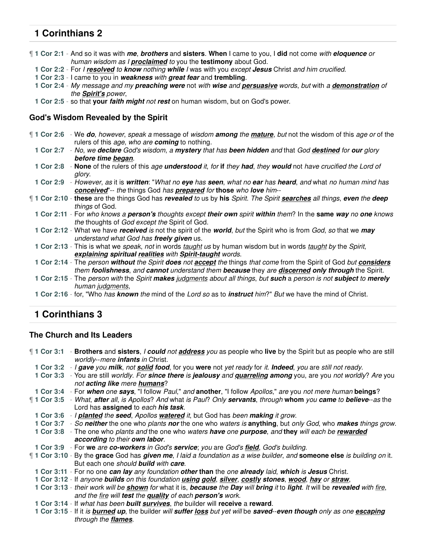¶ **1 Cor 2:1** - And so it was with **me**, **brothers** and **sisters**. **When** I came to you, I **did** not come with **eloquence** or human wisdom as I **proclaimed** to you the **testimony** about God.

- **1 Cor 2:2** For I **resolved** to **know** nothing **while** I was with you except **Jesus** Christ and him crucified.
- **1 Cor 2:3** I came to you in **weakness** with **great fear** and **trembling**.
- **1 Cor 2:4** My message and my **preaching were** not with **wise** and **persuasive** words, but with a **demonstration** of the **Spirit's** power,
- **1 Cor 2:5** so that **your faith might** not **rest** on human wisdom, but on God's power.

### **God's Wisdom Revealed by the Spirit**

- ¶ **1 Cor 2:6** We **do**, however, speak a message of wisdom **among** the **mature**, but not the wisdom of this age or of the rulers of this age, who are **coming** to nothing.
	- **1 Cor 2:7** No, we **declare** God's wisdom, a **mystery** that has **been hidden** and that God **destined** for **our** glory **before time began**.
	- **1 Cor 2:8 None** of the rulers of this age **understood** it, for **if** they **had**, they **would** not have crucified the Lord of glory.
- **1 Cor 2:9** However, as it is **written**: "What no **eye** has **seen**, what no **ear** has **heard**, and what no human mind has **conceived**"-- the things God has **prepared** for **those** who **love** him--
- ¶ **1 Cor 2:10 these** are the things God has **revealed** to us by **his** Spirit. The Spirit **searches** all things, **even** the **deep** things of God.
	- **1 Cor 2:11** For who knows a **person's** thoughts except **their own** spirit **within** them? In the **same way** no **one** knows the thoughts of God except the Spirit of God.
	- **1 Cor 2:12** What we have **received** is not the spirit of the **world**, but the Spirit who is from God, so that we **may** understand what God has **freely given** us.
	- **1 Cor 2:13** This is what we speak, not in words taught us by human wisdom but in words taught by the Spirit, **explaining spiritual realities** with **Spirit-taught** words.
	- **1 Cor 2:14** The person **without** the Spirit **does** not **accept** the things that come from the Spirit of God but **considers** them **foolishness**, and **cannot** understand them **because** they are **discerned only through** the Spirit.
	- **1 Cor 2:15** The person with the Spirit **makes** judgments about all things, but **such** a person is not **subject** to **merely** human judgments,
	- **1 Cor 2:16** for, "Who has **known** the mind of the Lord so as to **instruct** him?" But we have the mind of Christ.

# **1 Corinthians 3**

#### **The Church and Its Leaders**

¶ **1 Cor 3:1** - **Brothers** and **sisters**, I **could** not **address** you as people who **live** by the Spirit but as people who are still worldly--mere **infants** in Christ.

- **1 Cor 3:2** I **gave** you **milk**, not **solid food**, for you **were** not yet ready for it. **Indeed**, you are still not ready.
- **1 Cor 3:3** You are still worldly. For **since there** is **jealousy** and **quarreling among** you, are you not worldly? Are you not **acting like** mere **humans**?
- **1 Cor 3:4** For **when** one **says**, "I follow Paul," and **another**, "I follow Apollos," are you not mere human **beings**?
- ¶ **1 Cor 3:5** What, **after** all, is Apollos? And what is Paul? Only **servants**, through **whom** you **came** to **believe**--as the Lord has **assigned** to each **his task**.
	- **1 Cor 3:6** I **planted** the **seed**, Apollos **watered** it, but God has been **making** it grow.
- **1 Cor 3:7** So **neither** the one who plants **nor** the one who waters is **anything**, but only God, who **makes** things grow.
- **1 Cor 3:8** The one who plants and the one who waters **have** one **purpose**, and **they** will each be **rewarded**
	- **according** to their **own labor**.
- **1 Cor 3:9** For **we** are **co-workers** in God's **service**; you are God's **field**, God's building.
- ¶ **1 Cor 3:10** By the **grace** God has **given me**, I laid a foundation as a wise builder, and **someone else** is building on it. But each one should **build** with **care**.
- **1 Cor 3:11** For no one **can lay** any foundation **other than** the one **already** laid, **which** is **Jesus** Christ.
- **1 Cor 3:12** If anyone **builds** on this foundation **using gold**, **silver**, **costly stones**, **wood**, **hay** or **straw**,
- **1 Cor 3:13** their work will be **shown** for what it is, **because** the **Day** will **bring** it to **light**. It will be **revealed** with fire, and the fire will **test** the **quality** of each **person's** work.
- **1 Cor 3:14** If what has been **built survives**, the builder will **receive** a **reward**.
- **1 Cor 3:15** If it is **burned up**, the builder will **suffer loss** but yet will be **saved**--**even though** only as one **escaping** through the **flames**.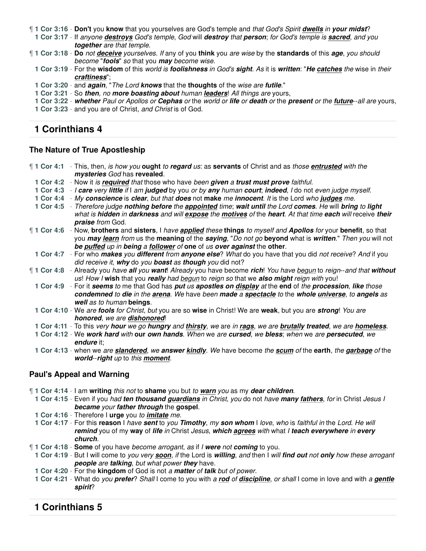- ¶ **1 Cor 3:16 Don't** you **know** that you yourselves are God's temple and that God's Spirit **dwells** in **your midst**?
- **1 Cor 3:17** If anyone **destroys** God's temple, God will **destroy** that **person**; for God's temple is **sacred**, and you **together** are that temple.

¶ **1 Cor 3:18** - **Do** not **deceive** yourselves. If any of you **think** you are wise by the **standards** of this **age**, you should become "**fools**" so that you **may** become wise.

- **1 Cor 3:19** For the **wisdom** of this world is **foolishness** in God's **sight**. As it is **written**: "**He catches** the wise in their **craftiness**";
- **1 Cor 3:20** and **again**, "The Lord **knows** that the **thoughts** of the wise are **futile**."
- **1 Cor 3:21** So **then**, no **more boasting about** human **leaders**! All things are yours,
- **1 Cor 3:22 whether** Paul or Apollos or **Cephas** or the world or **life** or **death** or the **present** or the **future**--all are yours,

**1 Cor 3:23** - and you are of Christ, and Christ is of God.

### **1 Corinthians 4**

#### **The Nature of True Apostleship**

- ¶ **1 Cor 4:1** This, then, is how you **ought** to **regard** us: as **servants** of Christ and as those **entrusted** with the **mysteries** God has **revealed**.
	- **1 Cor 4:2** Now it is **required** that those who have been **given** a **trust must prove** faithful.
	- **1 Cor 4:3** I **care** very **little** if I am **judged** by you or by **any** human **court**; **indeed**, I do not even judge myself.
	- **1 Cor 4:4** My **conscience** is **clear**, but that **does** not **make** me **innocent**. It is the Lord who **judges** me.
	- **1 Cor 4:5** Therefore judge **nothing before** the **appointed** time; **wait until** the Lord **comes**. He will **bring** to **light** what is **hidden** in **darkness** and will **expose** the **motives** of the **heart**. At that time **each** will receive **their praise** from God.
- ¶ **1 Cor 4:6** Now, **brothers** and **sisters**, I have **applied** these **things** to myself and **Apollos** for your **benefit**, so that you **may learn** from us the **meaning** of the **saying**, "Do not go **beyond** what is **written**." Then you will not **be puffed** up in **being** a **follower** of **one** of us **over against** the **other**.
- **1 Cor 4:7** For who **makes** you **different** from **anyone else**? What do you have that you did not receive? And if you did receive it, **why** do you **boast** as **though** you did not?
- ¶ **1 Cor 4:8** Already you have **all** you **want**! Already you have become **rich**! You have begun to reign--and that **without** us! How I **wish** that you **really** had begun to reign so that we **also might** reign with you!
	- **1 Cor 4:9** For it **seems** to me that God has **put** us **apostles on display** at the **end** of the **procession**, **like** those **condemned** to **die** in the **arena**. We have been **made** a **spectacle** to the **whole universe**, to **angels** as **well** as to human **beings**.
	- **1 Cor 4:10** We are **fools** for Christ, but you are so **wise** in Christ! We are **weak**, but you are **strong**! You are **honored**, we are **dishonored**!
	- **1 Cor 4:11** To this very **hour** we go **hungry** and **thirsty**, we are in **rags**, we are **brutally treated**, we are **homeless**.
	- **1 Cor 4:12** We **work hard** with **our own hands**. When we are **cursed**, we **bless**; when we are **persecuted**, we **endure** it;
	- **1 Cor 4:13** when we are **slandered**, we **answer kindly**. We have become the **scum** of the **earth**, the **garbage** of the **world**--**right** up to this **moment**.

#### **Paul's Appeal and Warning**

- ¶ **1 Cor 4:14** I am **writing** this not to **shame** you but to **warn** you as my **dear children**.
	- **1 Cor 4:15** Even if you had **ten thousand guardians** in Christ, you do not have **many fathers**, for in Christ Jesus I **became** your **father through** the **gospel**.
	- **1 Cor 4:16** Therefore I **urge** you to **imitate** me.
	- **1 Cor 4:17** For this **reason** I have **sent** to you **Timothy**, my **son whom** I love, who is faithful in the Lord. He will **remind** you of my **way** of **life** in Christ Jesus, **which agrees** with what I **teach everywhere** in **every church**.
- ¶ **1 Cor 4:18 Some** of you have become arrogant, as if I **were** not **coming** to you.
	- **1 Cor 4:19** But I will come to you very **soon**, if the Lord is **willing**, and then I will **find out** not **only** how these arrogant **people** are **talking**, but what power **they** have.
- **1 Cor 4:20** For the **kingdom** of God is not a **matter** of **talk** but of power.
- **1 Cor 4:21** What do you **prefer**? Shall I come to you with a **rod** of **discipline**, or shall I come in love and with a **gentle spirit**?

### **1 Corinthians 5**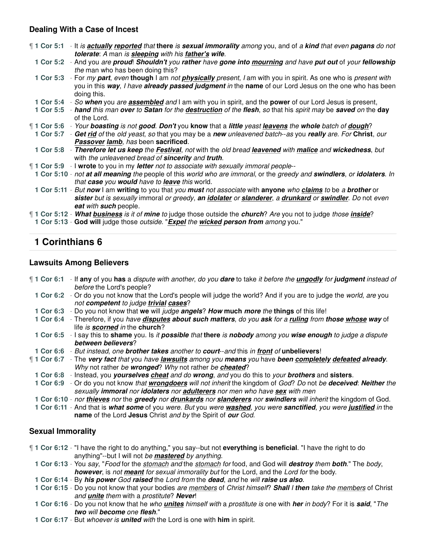### **Dealing With a Case of Incest**

| ¶ 1 Cor 5:1 | - It is <b>actually reported</b> that there is <b>sexual immorality</b> among you, and of a kind that even pagans do not<br>tolerate: A man is sleeping with his father's wife.                                                                           |
|-------------|-----------------------------------------------------------------------------------------------------------------------------------------------------------------------------------------------------------------------------------------------------------|
|             | 1 Cor 5:2 - And you are proud! Shouldn't you rather have gone into mourning and have put out of your fellowship<br>the man who has been doing this?                                                                                                       |
|             | 1 Cor 5:3 - For my part, even though I am not physically present, I am with you in spirit. As one who is present with<br>you in this way, I have already passed judgment in the name of our Lord Jesus on the one who has been<br>doing this.             |
|             | 1 Cor 5:4 - So when you are <b>assembled</b> and I am with you in spirit, and the power of our Lord Jesus is present,                                                                                                                                     |
|             | 1 Cor 5:5 - hand this man over to Satan for the destruction of the flesh, so that his spirit may be saved on the day<br>of the Lord.                                                                                                                      |
|             | <b>1 Cor 5:6</b> - Your boasting is not good. Don't you know that a little yeast leavens the whole batch of dough?                                                                                                                                        |
|             | 1 Cor 5:7 - Get rid of the old yeast, so that you may be a new unleavened batch--as you really are. For Christ, our<br>Passover lamb, has been sacrificed.                                                                                                |
|             | 1 Cor 5:8 - Therefore let us keep the Festival, not with the old bread leavened with malice and wickedness, but<br>with the unleavened bread of sincerity and truth.                                                                                      |
|             | <b>1 Cor 5:9</b> - I wrote to you in my letter not to associate with sexually immoral people-                                                                                                                                                             |
|             | 1 Cor 5:10 - not at all meaning the people of this world who are immoral, or the greedy and swindlers, or idolaters. In<br>that case you would have to leave this world.                                                                                  |
|             | 1 Cor 5:11 - But now I am writing to you that you must not associate with anyone who claims to be a brother or<br>sister but is sexually immoral or greedy, an <i>idolater</i> or slanderer, a drunkard or swindler. Do not even<br>eat with such people. |
|             | <b>1 Cor 5:12 - What business is it of mine to judge those outside the church?</b> Are you not to judge those <i>inside</i> ?                                                                                                                             |
|             | 1 Cor 5:13 - God will judge those outside. "Expel the wicked person from among you."                                                                                                                                                                      |

# **1 Corinthians 6**

#### **Lawsuits Among Believers**

- ¶ **1 Cor 6:1** If **any** of you **has** a dispute with another, do you **dare** to take it before the **ungodly** for **judgment** instead of before the Lord's people?
	- **1 Cor 6:2** Or do you not know that the Lord's people will judge the world? And if you are to judge the world, are you not **competent** to judge **trivial cases**?
	- **1 Cor 6:3** Do you not know that **we** will judge **angels**? **How much more** the **things** of this life!
	- **1 Cor 6:4** Therefore, if you have **disputes about such matters**, do you **ask** for a **ruling** from **those whose way** of life is **scorned** in the **church**?
	- **1 Cor 6:5** I say this to **shame** you. Is it **possible** that **there** is **nobody** among you **wise enough** to judge a dispute **between believers**?
- **1 Cor 6:6** But instead, one **brother takes** another to **court**--and this in **front** of **unbelievers**!
- ¶ **1 Cor 6:7** The **very fact** that you have **lawsuits** among you **means** you have **been completely defeated already**. Why not rather be **wronged**? Why not rather be **cheated**?
	- **1 Cor 6:8** Instead, you **yourselves cheat** and do **wrong**, and you do this to your **brothers** and **sisters**.
	- **1 Cor 6:9** Or do you not know that **wrongdoers** will not inherit the kingdom of God? Do not be **deceived**: **Neither** the sexually **immoral** nor **idolaters** nor **adulterers** nor men who have **sex** with men
	- **1 Cor 6:10** nor **thieves** nor the **greedy** nor **drunkards** nor **slanderers** nor **swindlers** will inherit the kingdom of God.
	- **1 Cor 6:11** And that is **what some** of you were. But you were **washed**, you were **sanctified**, you were **justified** in the **name** of the Lord **Jesus** Christ and by the Spirit of **our** God.

#### **Sexual Immorality**

- ¶ **1 Cor 6:12** "I have the right to do anything," you say--but not **everything** is **beneficial**. "I have the right to do anything"--but I will not be **mastered** by anything.
	- **1 Cor 6:13** You say, "Food for the stomach and the stomach for food, and God will **destroy** them **both**." The body, **however**, is not **meant** for sexual immorality but for the Lord, and the Lord for the body.
	- **1 Cor 6:14** By **his power** God **raised** the Lord from the **dead**, and he will **raise us also**.
	- **1 Cor 6:15** Do you not know that your bodies are members of Christ himself? **Shall** I **then** take the members of Christ and **unite** them with a prostitute? **Never**!
	- **1 Cor 6:16** Do you not know that he who **unites** himself with a prostitute is one with **her** in body? For it is **said**, "The **two** will **become** one **flesh**."
	- **1 Cor 6:17** But whoever is **united** with the Lord is one with **him** in spirit.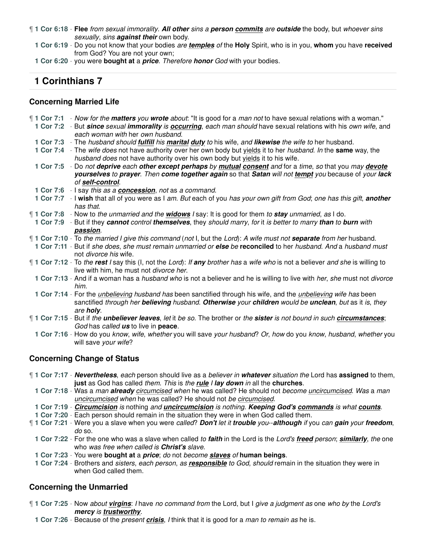¶ **1 Cor 6:18** - **Flee** from sexual immorality. **All other** sins a **person commits** are **outside** the body, but whoever sins sexually, sins **against their** own body.

**1 Cor 6:19** - Do you not know that your bodies are **temples** of the **Holy** Spirit, who is in you, **whom** you have **received** from God? You are not your own;

**1 Cor 6:20** - you were **bought at** a **price**. Therefore **honor** God with your bodies.

# **1 Corinthians 7**

### **Concerning Married Life**

| ¶ 1 Cor 7:1 - Now for the matters you wrote about: "It is good for a man not to have sexual relations with a woman."<br>1 Cor 7:2 - But since sexual immorality is occurring, each man should have sexual relations with his own wife, and            |
|-------------------------------------------------------------------------------------------------------------------------------------------------------------------------------------------------------------------------------------------------------|
| each woman with her own husband.                                                                                                                                                                                                                      |
| 1 Cor 7:3 - The husband should <i>fulfill</i> his <i>marital duty</i> to his wife, and likewise the wife to her husband.                                                                                                                              |
| 1 Cor 7:4 - The wife does not have authority over her own body but yields it to her husband. In the same way, the<br>husband does not have authority over his own body but yields it to his wife.                                                     |
| 1 Cor 7:5 - Do not deprive each other except perhaps by mutual consent and for a time, so that you may devote                                                                                                                                         |
| yourselves to prayer. Then come together again so that Satan will not tempt you because of your lack                                                                                                                                                  |
| of self-control.                                                                                                                                                                                                                                      |
| 1 Cor 7:6 - I say this as a <b>concession</b> , not as a command.                                                                                                                                                                                     |
| 1 Cor 7:7 - I wish that all of you were as I am. But each of you has your own gift from God; one has this gift, another<br>has that.                                                                                                                  |
| [1 Cor 7:8 - Now to the unmarried and the <b>widows</b> I say: It is good for them to <b>stay</b> unmarried, as I do.                                                                                                                                 |
| 1 Cor 7:9 - But if they cannot control themselves, they should marry, for it is better to marry than to burn with                                                                                                                                     |
| passion.                                                                                                                                                                                                                                              |
| 1 Cor 7:10 - To the married I give this command (not I, but the Lord): A wife must not <b>separate</b> from her husband.                                                                                                                              |
| 1 Cor 7:11 - But if she does, she must remain unmarried or else be reconciled to her husband. And a husband must                                                                                                                                      |
| not <i>divorce</i> his wife.                                                                                                                                                                                                                          |
| 1 Cor 7:12 - To the rest I say this (I, not the Lord): If any brother has a wife who is not a believer and she is willing to<br>live with him, he must not divorce her.                                                                               |
| 1 Cor 7:13 - And if a woman has a <i>husband who</i> is not a believer and he is willing to live with <i>her, she</i> must not divorce<br>him.                                                                                                        |
| 1 Cor 7:14 - For the <i>unbelieving husband has</i> been sanctified through his wife, and the <i>unbelieving wife has</i> been<br>sanctified through her believing husband. Otherwise your children would be unclean, but as it is, they<br>are holy. |
| 1 Cor 7:15 - But if the <i>unbeliever leaves</i> , let it be so. The brother or the sister is not bound in such <i>circumstances</i> ;                                                                                                                |
| God has called us to live in peace.                                                                                                                                                                                                                   |
| 1 Cor 7:16 - How do you know, wife, whether you will save your husband? Or, how do you know, husband, whether you                                                                                                                                     |
| will save your wife?                                                                                                                                                                                                                                  |
|                                                                                                                                                                                                                                                       |

### **Concerning Change of Status**

¶ **1 Cor 7:17** - **Nevertheless**, each person should live as a believer in **whatever** situation the Lord has **assigned** to them, **just** as God has called them. This is the **rule** I **lay down** in all the **churches**.

**1 Cor 7:18** - Was a man **already** circumcised when he was called? He should not become uncircumcised. Was a man uncircumcised when he was called? He should not be circumcised.

- **1 Cor 7:19 Circumcision** is nothing and **uncircumcision** is nothing. **Keeping God's commands** is what **counts**.
- **1 Cor 7:20** Each person should remain in the situation they were in when God called them.
- ¶ **1 Cor 7:21** Were you a slave when you were called? **Don't** let it **trouble** you--**although** if you can **gain** your **freedom**, do so.
	- **1 Cor 7:22** For the one who was a slave when called to **faith** in the Lord is the Lord's **freed** person; **similarly**, the one who was free when called is **Christ's** slave.
	- **1 Cor 7:23** You were **bought at** a **price**; do not become **slaves** of **human beings**.
	- **1 Cor 7:24** Brothers and sisters, each person, as **responsible** to God, should remain in the situation they were in when God called them.

### **Concerning the Unmarried**

- ¶ **1 Cor 7:25** Now about **virgins**: I have no command from the Lord, but I give a judgment as one who by the Lord's **mercy** is **trustworthy**.
	- **1 Cor 7:26** Because of the present **crisis**, I think that it is good for a man to remain as he is.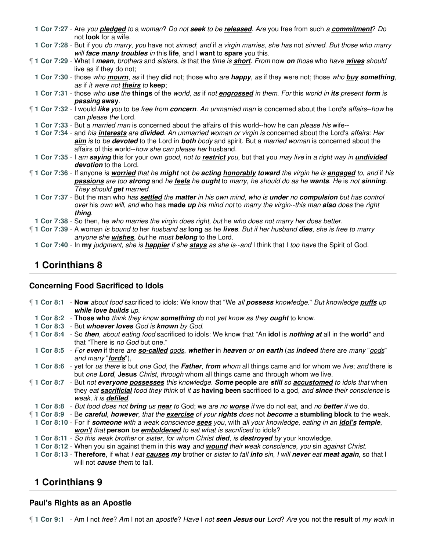| 1 Cor 7:27 - Are you <i>pledged</i> to a woman? Do not seek to be <i>released</i> . Are you free from such a <i>commitment</i> ? Do<br>not <b>look</b> for a wife.                                                                                                                    |
|---------------------------------------------------------------------------------------------------------------------------------------------------------------------------------------------------------------------------------------------------------------------------------------|
| 1 Cor 7:28 - But if you do marry, you have not sinned; and if a virgin marries, she has not sinned. But those who marry<br>will face many troubles in this life, and I want to spare you this.                                                                                        |
| 1 Cor 7:29 - What I mean, brothers and sisters, is that the time is short. From now on those who have wives should<br>live as if they do not;                                                                                                                                         |
| 1 Cor 7:30 - those who mourn, as if they did not; those who are happy, as if they were not; those who buy something,<br>as if it were not theirs to keep;                                                                                                                             |
| 1 Cor 7:31 - those who use the things of the world, as if not engrossed in them. For this world in its present form is<br>passing away.                                                                                                                                               |
| 1 Cor 7:32 - I would like you to be free from concern. An unmarried man is concerned about the Lord's affairs--how he<br>can please the Lord.                                                                                                                                         |
| 1 Cor 7:33 - But a married man is concerned about the affairs of this world--how he can please his wife--                                                                                                                                                                             |
| 1 Cor 7:34 - and his interests are divided. An unmarried woman or virgin is concerned about the Lord's affairs: Her<br>aim is to be devoted to the Lord in both body and spirit. But a married woman is concerned about the<br>affairs of this world--how she can please her husband. |
| 1 Cor 7:35 - I am saying this for your own good, not to restrict you, but that you may live in a right way in undivided<br>devotion to the Lord.                                                                                                                                      |
| ¶ 1 Cor 7:36 - If anyone is worried that he might not be acting honorably toward the virgin he is engaged to, and if his<br>passions are too strong and he feels he ought to marry, he should do as he wants. He is not sinning.<br>They should get married.                          |
| 1 Cor 7:37 - But the man who has settled the matter in his own mind, who is under no compulsion but has control<br>over his own will, and who has made up his mind not to marry the virgin--this man also does the right<br>thing.                                                    |
| 1 Cor 7:38 - So then, he who marries the virgin does right, but he who does not marry her does better.                                                                                                                                                                                |
| ¶ 1 Cor 7:39 - A woman is bound to her husband as long as he lives. But if her husband dies, she is free to marry<br>anyone she wishes, but he must belong to the Lord.                                                                                                               |
| 1 Cor 7:40 - In my judgment, she is <b>happier</b> if she stays as she is--and I think that I too have the Spirit of God.                                                                                                                                                             |

### **Concerning Food Sacrificed to Idols**

| 1 Cor 8:1 - Now about food sacrificed to idols: We know that "We all possess knowledge." But knowledge puffs up<br>while love builds up.                                                                                                                      |
|---------------------------------------------------------------------------------------------------------------------------------------------------------------------------------------------------------------------------------------------------------------|
| 1 Cor 8:2 - Those who think they know something do not yet know as they ought to know.                                                                                                                                                                        |
| 1 Cor 8:3 - But whoever loves God is known by God.                                                                                                                                                                                                            |
| 1 Cor 8:4 - So then, about eating food sacrificed to idols: We know that "An idol is nothing at all in the world" and<br>that "There is no God but one."                                                                                                      |
| 1 Cor 8:5 - For even if there are so-called gods, whether in heaven or on earth (as indeed there are many "gods"<br>and many " <b>lords</b> "),                                                                                                               |
| 1 Cor 8:6 - yet for us there is but one God, the Father, from whom all things came and for whom we live; and there is<br>but one Lord, Jesus Christ, through whom all things came and through whom we live.                                                   |
| 1 Cor 8:7 - But not everyone possesses this knowledge. Some people are still so accustomed to idols that when<br>they eat sacrificial food they think of it as having been sacrificed to a god, and since their conscience is<br>weak, it is <b>defiled</b> . |
| 1 Cor 8:8 - But food does not bring us near to God; we are no worse if we do not eat, and no better if we do.                                                                                                                                                 |
| 1 Cor 8:9 - Be careful, however, that the exercise of your rights does not become a stumbling block to the weak.                                                                                                                                              |
| 1 Cor 8:10 - For if someone with a weak conscience sees you, with all your knowledge, eating in an idol's temple,                                                                                                                                             |
| won't that person be emboldened to eat what is sacrificed to idols?                                                                                                                                                                                           |

- **1 Cor 8:11** So this weak brother or sister, for whom Christ **died**, is **destroyed** by your knowledge.
- **1 Cor 8:12** When you sin against them in this **way** and **wound** their weak conscience, you sin against Christ.
- **1 Cor 8:13 Therefore**, if what I eat **causes my** brother or sister to fall **into** sin, I will **never** eat **meat again**, so that I will not **cause** them to fall.

# **1 Corinthians 9**

### **Paul's Rights as an Apostle**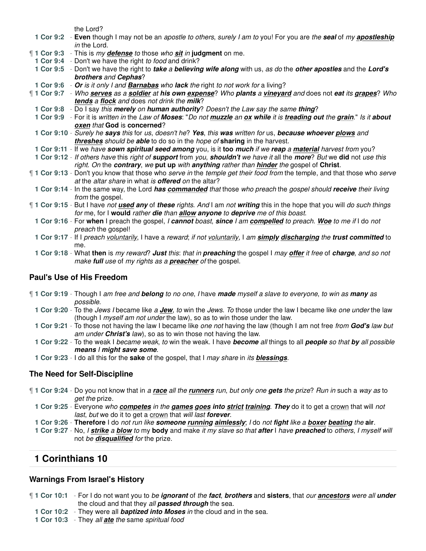the Lord?

|           | $115$ LUIU:                                                                                                                                                                           |
|-----------|---------------------------------------------------------------------------------------------------------------------------------------------------------------------------------------|
| 1 Cor 9:2 | - Even though I may not be an apostle to others, surely I am to you! For you are the seal of my apostleship                                                                           |
|           | in the Lord.                                                                                                                                                                          |
|           | 1 Cor 9:3 - This is my defense to those who sit in judgment on me.                                                                                                                    |
|           | 1 Cor 9:4 - Don't we have the right to food and drink?                                                                                                                                |
|           | 1 Cor 9:5 - Don't we have the right to take a believing wife along with us, as do the other apostles and the Lord's<br>brothers and Cephas?                                           |
|           | 1 Cor 9:6 - Or is it only I and Barnabas who lack the right to not work for a living?                                                                                                 |
|           | 1 Cor 9:7 - Who serves as a soldier at his own expense? Who plants a vineyard and does not eat its grapes? Who                                                                        |
|           | <b>tends a flock and does not drink the milk?</b>                                                                                                                                     |
|           | 1 Cor 9:8 - Do I say this merely on human authority? Doesn't the Law say the same thing?                                                                                              |
|           | 1 Cor 9:9 - For it is written in the Law of Moses: "Do not muzzle an ox while it is treading out the grain." Is it about                                                              |
|           | oxen that God is concerned?                                                                                                                                                           |
|           | 1 Cor 9:10 - Surely he says this for us, doesn't he? Yes, this was written for us, because whoever plows and                                                                          |
|           | threshes should be able to do so in the hope of sharing in the harvest.                                                                                                               |
|           | 1 Cor 9:11 - If we have sown spiritual seed among you, is it too much if we reap a material harvest from you?                                                                         |
|           | 1 Cor 9:12 - If others have this right of support from you, shouldn't we have it all the more? But we did not use this                                                                |
|           | right. On the contrary, we put up with anything rather than hinder the gospel of Christ.                                                                                              |
|           | 1 Cor 9:13 - Don't you know that those who serve in the temple get their food from the temple, and that those who serve<br>at the altar share in what is <b>offered</b> on the altar? |
|           | 1 Cor 9:14 - In the same way, the Lord has commanded that those who preach the gospel should receive their living                                                                     |
|           | from the gospel.                                                                                                                                                                      |
|           | 1 Cor 9:15 - But I have not used any of these rights. And I am not writing this in the hope that you will do such things                                                              |
|           | for me, for I would rather die than allow anyone to deprive me of this boast.                                                                                                         |
|           | 1 Cor 9:16 - For when I preach the gospel, I cannot boast, since I am compelled to preach. Woe to me if I do not                                                                      |
|           | preach the gospel!                                                                                                                                                                    |
|           | 1 Cor 9:17 - If I preach voluntarily, I have a reward; if not voluntarily, I am simply discharging the trust committed to                                                             |
|           | me.                                                                                                                                                                                   |
|           | 1 Cor 9:18 - What then is my reward? Just this: that in preaching the gospel I may offer it free of charge, and so not                                                                |
|           | make full use of my rights as a preacher of the gospel.                                                                                                                               |
|           |                                                                                                                                                                                       |

### **Paul's Use of His Freedom**

|                  | 1 Cor 9:19 - Though I am free and <b>belong</b> to no one, I have made myself a slave to everyone, to win as many as |
|------------------|----------------------------------------------------------------------------------------------------------------------|
| <i>possible.</i> |                                                                                                                      |

- **1 Cor 9:20** To the Jews I became like a **Jew**, to win the Jews. To those under the law I became like one under the law (though I myself am not under the law), so as to win those under the law.
- **1 Cor 9:21** To those not having the law I became like one not having the law (though I am not free from **God's** law but am under **Christ's** law), so as to win those not having the law.

**1 Cor 9:22** - To the weak I became weak, to win the weak. I have **become** all things to all **people** so that **by** all possible **means** I **might save some**.

**1 Cor 9:23** - I do all this for the **sake** of the gospel, that I may share in its **blessings**.

#### **The Need for Self-Discipline**

- ¶ **1 Cor 9:24** Do you not know that in a **race** all the **runners** run, but only one **gets** the prize? Run in such a way as to get the prize.
	- **1 Cor 9:25** Everyone who **competes** in the **games goes into strict training**. **They** do it to get a crown that will not last, but we do it to get a crown that will last **forever**.
	- **1 Cor 9:26 Therefore** I do not run like **someone running aimlessly**; I do not **fight** like a **boxer beating** the **air**.
	- **1 Cor 9:27** No, I **strike** a **blow** to my **body** and make it my slave so that **after** I have **preached** to others, I myself will not be **disqualified** for the prize.

### **1 Corinthians 10**

### **Warnings From Israel's History**

- ¶ **1 Cor 10:1** For I do not want you to be **ignorant** of the **fact**, **brothers** and **sisters**, that our **ancestors** were all **under** the cloud and that they all **passed through** the sea.
	- **1 Cor 10:2** They were all **baptized into Moses** in the cloud and in the sea.
	- **1 Cor 10:3** They all **ate** the same spiritual food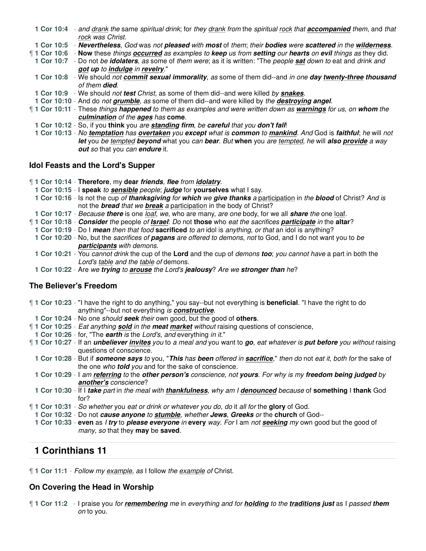**1 Cor 10:4** - and drank the same spiritual drink; for they drank from the spiritual rock that **accompanied** them, and that rock was Christ.

**1 Cor 10:5** - **Nevertheless**, God was not **pleased** with **most** of them; their **bodies** were **scattered** in the **wilderness**.

¶ **1 Cor 10:6** - **Now** these things **occurred** as examples to **keep** us from **setting** our **hearts** on **evil** things as they did.

**1 Cor 10:7** - Do not be **idolaters**, as some of them were; as it is written: "The people **sat** down to eat and drink and **got up** to **indulge** in **revelry**."

- **1 Cor 10:8** We should not **commit sexual immorality**, as some of them did--and in one **day twenty-three thousand** of them **died**.
- **1 Cor 10:9** We should not **test** Christ, as some of them did--and were killed by **snakes**.
- **1 Cor 10:10** And do not **grumble**, as some of them did--and were killed by the **destroying angel**.
- ¶ **1 Cor 10:11** These things **happened** to them as examples and were written down as **warnings** for us, on **whom** the **culmination** of the **ages** has **come**.
- **1 Cor 10:12** So, if you **think** you are **standing firm**, be **careful** that you **don't fall**!
- **1 Cor 10:13** No **temptation** has **overtaken** you **except** what is **common** to **mankind**. And God is **faithful**; he will not **let** you be tempted **beyond** what you can **bear**. But **when** you are tempted, he will **also provide** a way **out** so that you can **endure** it.

### **Idol Feasts and the Lord's Supper**

- ¶ **1 Cor 10:14 Therefore**, my **dear friends**, **flee** from **idolatry**.
- **1 Cor 10:15** I **speak** to **sensible** people; **judge** for **yourselves** what I say.
- **1 Cor 10:16** Is not the cup of **thanksgiving** for **which** we **give thanks** a participation in the **blood** of Christ? And is not the **bread** that we **break** a participation in the body of Christ?
- **1 Cor 10:17** Because **there** is one loaf, we, who are many, are one body, for we all **share** the one loaf.
- ¶ **1 Cor 10:18 Consider** the people of **Israel**: Do not **those** who eat the sacrifices **participate** in the **altar**?
- **1 Cor 10:19** Do I **mean** then that food **sacrificed** to an idol is anything, or that an idol is anything?
- **1 Cor 10:20** No, but the sacrifices of **pagans** are offered to demons, not to God, and I do not want you to be **participants** with demons.
- **1 Cor 10:21** You cannot drink the cup of the **Lord** and the cup of demons **too**; you cannot have a part in both the Lord's table and the table of demons.
- **1 Cor 10:22** Are we **trying** to **arouse** the Lord's **jealousy**? Are we **stronger than** he?

# **The Believer's Freedom**

- ¶ **1 Cor 10:23** "I have the right to do anything," you say--but not everything is **beneficial**. "I have the right to do anything"--but not everything is **constructive**.
- **1 Cor 10:24** No one should **seek** their own good, but the good of **others**.
- ¶ **1 Cor 10:25** Eat anything **sold** in the **meat market** without raising questions of conscience,
- **1 Cor 10:26** for, "The **earth** is the Lord's, and everything in it."
- ¶ **1 Cor 10:27** If an **unbeliever invites** you to a meal and you want to **go**, eat whatever is **put before** you without raising questions of conscience.
- **1 Cor 10:28** But if **someone says** to you, "**This** has **been** offered in **sacrifice**," then do not eat it, both for the sake of the one who **told** you and for the sake of conscience.
- **1 Cor 10:29** I am **referring** to the **other person's** conscience, not **yours**. For why is my **freedom being judged** by **another's** conscience?
- **1 Cor 10:30** If I **take** part in the meal with **thankfulness**, why am I **denounced** because of **something** I **thank** God for?
- ¶ **1 Cor 10:31** So whether you eat or drink or whatever you do, do it all for the **glory** of God.
- **1 Cor 10:32** Do not **cause anyone** to **stumble**, whether **Jews**, **Greeks** or the **church** of God--
- **1 Cor 10:33 even** as I **try** to **please everyone** in **every** way. For I am not **seeking** my own good but the good of many, so that they **may** be **saved**.

# **1 Corinthians 11**

¶ **1 Cor 11:1** - Follow my example, as I follow the example of Christ.

# **On Covering the Head in Worship**

¶ **1 Cor 11:2** - I praise you for **remembering** me in everything and for **holding** to the **traditions just** as I passed **them** on to you.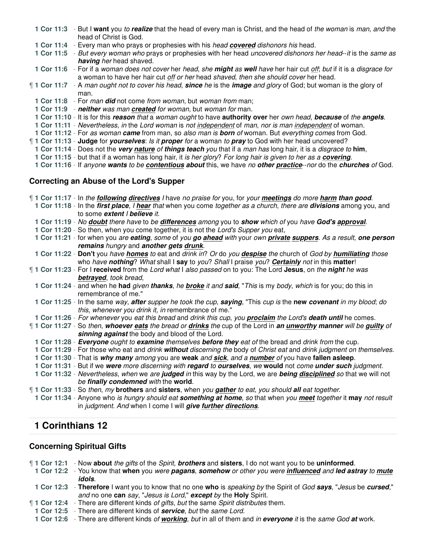- **1 Cor 11:3** But I **want** you to **realize** that the head of every man is Christ, and the head of the woman is man, and the head of Christ is God.
- **1 Cor 11:4** Every man who prays or prophesies with his head **covered** dishonors his head.
- **1 Cor 11:5** But every woman who prays or prophesies with her head uncovered dishonors her head--it is the same as **having** her head shaved.
- **1 Cor 11:6** For if a woman does not cover her head, she **might** as **well** have her hair cut off; but if it is a disgrace for a woman to have her hair cut off or her head shaved, then she should cover her head.
- ¶ **1 Cor 11:7** A man ought not to cover his head, **since** he is the **image** and glory of God; but woman is the glory of man.
	- **1 Cor 11:8** For man **did** not come from woman, but woman from man;
	- **1 Cor 11:9 neither** was man **created** for woman, but woman for man.
	- **1 Cor 11:10** It is for this **reason** that a woman ought to have **authority over** her own head, **because** of the **angels**.
- **1 Cor 11:11** Nevertheless, in the Lord woman is not independent of man, nor is man independent of woman.
- **1 Cor 11:12** For as woman **came** from man, so also man is **born** of woman. But everything comes from God.
- ¶ **1 Cor 11:13 Judge** for **yourselves**: Is it **proper** for a woman to **pray** to God with her head uncovered?
- **1 Cor 11:14** Does not the **very nature** of **things teach** you that if a man has long hair, it is a disgrace to **him**,
- **1 Cor 11:15** but that if a woman has long hair, it is her glory? For long hair is given to her as a **covering**.
- **1 Cor 11:16** If anyone **wants** to be **contentious about** this, we have no **other practice**--nor do the **churches** of God.

#### **Correcting an Abuse of the Lord's Supper**

| <b>1 Cor 11:17</b> - In the <b>following directives</b> I have no praise for you, for your meetings do more harm than good. |
|-----------------------------------------------------------------------------------------------------------------------------|
| 1 Cor 11:18 - In the first place, I hear that when you come together as a church, there are divisions among you, and        |
| to some extent I believe it.                                                                                                |
| 1 Cor 11:19 - No doubt there have to be differences among you to show which of you have God's approval.                     |
| 1 Cor 11:20 - So then, when you come together, it is not the Lord's Supper you eat,                                         |
| 1 Cor 11:21 - for when you are eating, some of you go ahead with your own private suppers. As a result, one person          |
| remains hungry and another gets drunk.                                                                                      |
| 1 Cor 11:22 - Don't you have homes to eat and drink in? Or do you despise the church of God by humiliating those            |
| who have nothing? What shall I say to you? Shall I praise you? Certainly not in this matter!                                |
| 1 Cor 11:23 - For I received from the Lord what I also passed on to you: The Lord Jesus, on the night he was                |
| betrayed, took bread,                                                                                                       |
| 1 Cor 11:24 - and when he had given thanks, he broke it and said, "This is my body, which is for you; do this in            |
| remembrance of me."                                                                                                         |
| 1 Cor 11:25 - In the same way, after supper he took the cup, saying, "This cup is the new covenant in my blood; do          |
| this, whenever you drink it, in remembrance of me."                                                                         |
| 1 Cor 11:26 - For whenever you eat this bread and drink this cup, you <b>proclaim</b> the Lord's death until he comes.      |
| 1 Cor 11:27 - So then, whoever eats the bread or drinks the cup of the Lord in an unworthy manner will be guilty of         |
| sinning against the body and blood of the Lord.                                                                             |
| 1 Cor 11:28 - Everyone ought to examine themselves before they eat of the bread and drink from the cup.                     |
| 1 Cor 11:29 - For those who eat and drink without discerning the body of Christ eat and drink judgment on themselves.       |
| 1 Cor 11:30 - That is why many among you are weak and sick, and a number of you have fallen asleep.                         |
| 1 Cor 11:31 - But if we were more discerning with regard to ourselves, we would not come under such judgment.               |
| 1 Cor 11:32 - Nevertheless, when we are judged in this way by the Lord, we are being disciplined so that we will not        |
| be finally condemned with the world.                                                                                        |
| 1 Cor 11:33 - So then, my brothers and sisters, when you gather to eat, you should all eat together.                        |
| 1 Cor 11:34 - Anyone who is hungry should eat something at home, so that when you meet together it may not result           |
| in judgment. And when I come I will give further directions.                                                                |

# **1 Corinthians 12**

#### **Concerning Spiritual Gifts**

¶ **1 Cor 12:1** - Now **about** the gifts of the Spirit, **brothers** and **sisters**, I do not want you to be **uninformed**.

- **1 Cor 12:2** You know that **when** you were **pagans**, **somehow** or other you were **influenced** and **led astray** to **mute idols**.
- **1 Cor 12:3 Therefore** I want you to know that no one **who** is speaking by the Spirit of God **says**, "Jesus be **cursed**," and no one **can** say, "Jesus is Lord," **except** by the **Holy** Spirit.
- ¶ **1 Cor 12:4** There are different kinds of gifts, but the same Spirit distributes them.
- **1 Cor 12:5** There are different kinds of **service**, but the same Lord.
- **1 Cor 12:6** There are different kinds of **working**, but in all of them and in **everyone** it is the same God **at** work.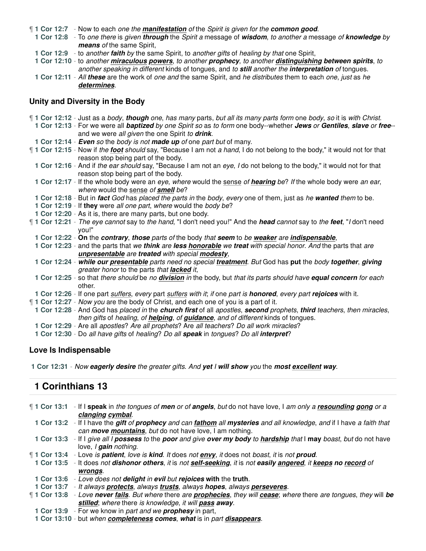¶ **1 Cor 12:7** - Now to each one the **manifestation** of the Spirit is given for the **common good**.

**1 Cor 12:8** - To one there is given **through** the Spirit a message of **wisdom**, to another a message of **knowledge** by **means** of the same Spirit,

**1 Cor 12:9** - to another **faith** by the same Spirit, to another gifts of healing by that one Spirit,

**1 Cor 12:10** - to another **miraculous powers**, to another **prophecy**, to another **distinguishing between spirits**, to another speaking in different kinds of tongues, and to **still** another the **interpretation** of tongues.

**1 Cor 12:11** - All **these** are the work of one and the same Spirit, and he distributes them to each one, just as he **determines**.

#### **Unity and Diversity in the Body**

¶ **1 Cor 12:12** - Just as a body, **though** one, has many parts, but all its many parts form one body, so it is with Christ. **1 Cor 12:13** - For we were all **baptized** by one Spirit so as to form one body--whether **Jews** or **Gentiles**, **slave** or **free**- and we were all given the one Spirit to **drink**. **1 Cor 12:14** - **Even** so the body is not **made up** of one part but of many. ¶ **1 Cor 12:15** - Now if the **foot** should say, "Because I am not a hand, I do not belong to the body," it would not for that reason stop being part of the body. **1 Cor 12:16** - And if the ear should say, "Because I am not an eye, I do not belong to the body," it would not for that reason stop being part of the body. **1 Cor 12:17** - If the whole body were an eye, where would the sense of **hearing** be? If the whole body were an ear, where would the sense of **smell** be? **1 Cor 12:18** - But in **fact** God has placed the parts in the body, every one of them, just as he **wanted** them to be. **1 Cor 12:19** - If **they** were all one part, where would the body be? **1 Cor 12:20** - As it is, there are many parts, but one body. ¶ **1 Cor 12:21** - The eye cannot say to the hand, "I don't need you!" And the **head** cannot say to the **feet**, "I don't need you!" **1 Cor 12:22** - **On** the **contrary**, **those** parts of the body that **seem** to be **weaker** are **indispensable**, **1 Cor 12:23** - and the parts that we **think** are **less honorable** we **treat** with special honor. And the parts that are **unpresentable** are **treated** with special **modesty**, **1 Cor 12:24** - **while our presentable** parts need no special **treatment**. But God has **put** the body **together**, **giving** greater honor to the parts that **lacked** it, **1 Cor 12:25** - so that there should be no **division** in the body, but that its parts should have **equal concern** for each other. **1 Cor 12:26** - If one part suffers, every part suffers with it; if one part is **honored**, every part **rejoices** with it. ¶ **1 Cor 12:27** - Now you are the body of Christ, and each one of you is a part of it. **1 Cor 12:28** - And God has placed in the **church first** of all apostles, **second** prophets, **third** teachers, then miracles, then gifts of healing, of **helping**, of **guidance**, and of different kinds of tongues. **1 Cor 12:29** - Are all apostles? Are all prophets? Are all teachers? Do all work miracles? **1 Cor 12:30** - Do all have gifts of healing? Do all **speak** in tongues? Do all **interpret**?

### **Love Is Indispensable**

**1 Cor 12:31** - Now **eagerly desire** the greater gifts. And **yet** I **will show** you the **most excellent way**.

### **1 Corinthians 13**

| 1 Cor 13:1 - If I speak in the tongues of men or of angels, but do not have love, I am only a resounding gong or a                |
|-----------------------------------------------------------------------------------------------------------------------------------|
| clanging cymbal.                                                                                                                  |
| 1 Cor 13:2 - If I have the gift of prophecy and can fathom all mysteries and all knowledge, and if I have a faith that            |
| can move mountains, but do not have love, I am nothing.                                                                           |
| 1 Cor 13:3 - If I give all I possess to the poor and give over my body to hardship that I may boast, but do not have              |
| love. I <b>gain</b> nothing.                                                                                                      |
| 1 Cor 13:4 - Love is <b>patient</b> , love is <b>kind</b> . It does not <b>envy</b> , it does not boast, it is not <b>proud</b> . |
| 1 Cor 13:5 - It does not dishonor others, it is not self-seeking, it is not easily angered, it keeps no record of                 |
| wrongs.                                                                                                                           |
| 1 Cor 13:6 - Love does not delight in evil but rejoices with the truth.                                                           |
| 1 Cor 13:7 - It always protects, always trusts, always hopes, always perseveres.                                                  |
| 1 Cor 13:8 - Love never fails. But where there are prophecies, they will cease; where there are tongues, they will be             |
| stilled; where there is knowledge, it will pass away.                                                                             |
| 1 Cor 13:9 - For we know in part and we <b>prophesy</b> in part,                                                                  |
| 1 Cor 13:10 - but when completeness comes, what is in part disappears.                                                            |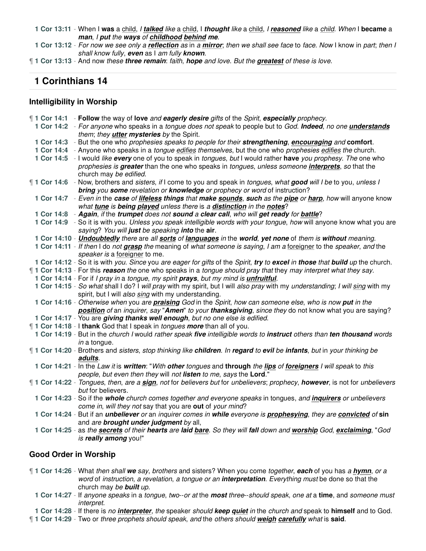**1 Cor 13:11** - When I **was** a child, I **talked** like a child, I **thought** like a child, I **reasoned** like a child. When I **became** a **man**, I **put** the **ways** of **childhood behind me**.

**1 Cor 13:12** - For now we see only a **reflection** as in a **mirror**; then we shall see face to face. Now I know in part; then I shall know fully, **even** as I am fully **known**.

¶ **1 Cor 13:13** - And now these **three remain**: faith, **hope** and love. But the **greatest** of these is love.

# **1 Corinthians 14**

#### **Intelligibility in Worship**

| 1 Cor 14:1 - Follow the way of love and eagerly desire gifts of the Spirit, especially prophecy.                                                      |
|-------------------------------------------------------------------------------------------------------------------------------------------------------|
| 1 Cor 14:2 - For anyone who speaks in a tongue does not speak to people but to God. Indeed, no one <i>understands</i>                                 |
| them; they <b>utter mysteries</b> by the Spirit.                                                                                                      |
| 1 Cor 14:3 - But the one who prophesies speaks to people for their strengthening, encouraging and comfort.                                            |
| 1 Cor 14:4 - Anyone who speaks in a tongue edifies themselves, but the one who prophesies edifies the church.                                         |
| 1 Cor 14:5 - I would like every one of you to speak in tongues, but I would rather have you prophesy. The one who                                     |
| prophesies is greater than the one who speaks in tongues, unless someone interprets, so that the                                                      |
| church may be edified.                                                                                                                                |
| 1 1 Cor 14:6 - Now, brothers and sisters, if I come to you and speak in tongues, what good will I be to you, unless I                                 |
| bring you some revelation or knowledge or prophecy or word of instruction?                                                                            |
| 1 Cor 14:7 - Even in the case of lifeless things that make sounds, such as the pipe or harp, how will anyone know                                     |
| what tune is being played unless there is a distinction in the notes?                                                                                 |
| 1 Cor 14:8 - Again, if the trumpet does not sound a clear call, who will get ready for battle?                                                        |
| 1 Cor 14:9 - So it is with you. Unless you speak intelligible words with your tongue, how will anyone know what you are                               |
| saying? You will just be speaking into the air.                                                                                                       |
| 1 Cor 14:10 - <i>Undoubtedly there are all sorts of languages in the world, yet none of them is without meaning.</i>                                  |
| 1 Cor 14:11 - If then I do not grasp the meaning of what someone is saying, I am a foreigner to the speaker, and the<br>speaker is a foreigner to me. |
| 1 Cor 14:12 - So it is with you. Since you are eager for gifts of the Spirit, try to excel in those that build up the church.                         |
| <b>1 Cor 14:13</b> - For this reason the one who speaks in a tongue should pray that they may interpret what they say.                                |
| 1 Cor 14:14 - For if I pray in a tongue, my spirit prays, but my mind is <i>unfruitful</i> .                                                          |
| 1 Cor 14:15 - So what shall I do? I will pray with my spirit, but I will also pray with my understanding; I will sing with my                         |
| spirit, but I will also sing with my understanding.                                                                                                   |
| 1 Cor 14:16 - Otherwise when you are praising God in the Spirit, how can someone else, who is now put in the                                          |
| position of an inquirer, say "Amen" to your thanksgiving, since they do not know what you are saying?                                                 |
| 1 Cor 14:17 - You are giving thanks well enough, but no one else is edified.                                                                          |
| 1 Cor 14:18 - I thank God that I speak in tongues more than all of you.                                                                               |
| 1 Cor 14:19 - But in the church I would rather speak five intelligible words to instruct others than ten thousand words                               |
| in a tongue.                                                                                                                                          |
| 1 Cor 14:20 - Brothers and sisters, stop thinking like children. In regard to evil be infants, but in your thinking be                                |
| adults.                                                                                                                                               |
| 1 Cor 14:21 - In the Law it is written: "With other tongues and through the lips of foreigners I will speak to this                                   |
| people, but even then they will not listen to me, says the Lord."                                                                                     |
| 1 Cor 14:22 - Tongues, then, are a sign, not for believers but for unbelievers; prophecy, however, is not for unbelievers                             |
| but for believers.                                                                                                                                    |
| 1 Cor 14:23 - So if the whole church comes together and everyone speaks in tongues, and <i>inquirers</i> or unbelievers                               |
| come in, will they not say that you are out of your mind?                                                                                             |
| 1 Cor 14:24 - But if an <i>unbeliever or an inquirer comes in while everyone is prophesying, they are convicted of sin</i>                            |
| and are brought under judgment by all,                                                                                                                |
| 1 Cor 14:25 - as the secrets of their hearts are laid bare. So they will fall down and worship God, exclaiming, "God<br>is really among you!"         |
|                                                                                                                                                       |

#### **Good Order in Worship**

- ¶ **1 Cor 14:26** What then shall **we** say, brothers and sisters? When you come together, **each** of you has a **hymn**, or a word of instruction, a revelation, a tongue or an **interpretation**. Everything must be done so that the church may be **built** up.
	- **1 Cor 14:27** If anyone speaks in a tongue, two--or at the **most** three--should speak, one at a **time**, and someone must interpret.
- **1 Cor 14:28** If there is no **interpreter**, the speaker should **keep quiet** in the church and speak to **himself** and to God.
- ¶ **1 Cor 14:29** Two or three prophets should speak, and the others should **weigh carefully** what is **said**.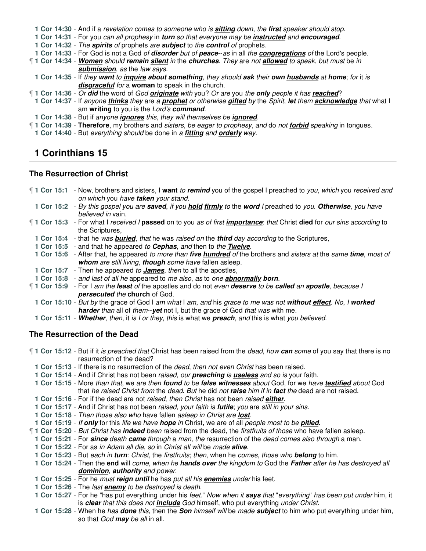**1 Cor 14:30** - And if a revelation comes to someone who is **sitting** down, the **first** speaker should stop.

**1 Cor 14:31** - For you can all prophesy in **turn** so that everyone may be **instructed** and **encouraged**.

**1 Cor 14:32** - The **spirits** of prophets are **subject** to the **control** of prophets.

**1 Cor 14:33** - For God is not a God of **disorder** but of **peace**--as in all the **congregations** of the Lord's people.

¶ **1 Cor 14:34** - **Women** should **remain silent** in the **churches**. They are not **allowed** to speak, but must be in **submission**, as the law says.

**1 Cor 14:35** - If they **want** to **inquire about something**, they should **ask** their **own husbands** at **home**; for it is **disgraceful** for a **woman** to speak in the church.

¶ **1 Cor 14:36** - Or **did** the word of God **originate** with you? Or are you the **only** people it has **reached**?

**1 Cor 14:37** - If anyone **thinks** they are a **prophet** or otherwise **gifted** by the Spirit, **let** them **acknowledge** that what I am **writing** to you is the Lord's **command**.

**1 Cor 14:38** - But if anyone **ignores** this, they will themselves be **ignored**.

¶ **1 Cor 14:39** - **Therefore**, my brothers and sisters, be eager to prophesy, and do not **forbid** speaking in tongues.

**1 Cor 14:40** - But everything should be done in a **fitting** and **orderly** way.

### **1 Corinthians 15**

#### **The Resurrection of Christ**

¶ **1 Cor 15:1** - Now, brothers and sisters, I **want** to **remind** you of the gospel I preached to you, which you received and on which you have **taken** your stand. **1 Cor 15:2** - By this gospel you are **saved**, if you **hold firmly** to the **word** I preached to you. **Otherwise**, you have believed in vain. ¶ **1 Cor 15:3** - For what I received I **passed** on to you as of first **importance**: that Christ **died** for our sins according to the Scriptures, **1 Cor 15:4** - that he was **buried**, that he was raised on the **third** day according to the Scriptures, **1 Cor 15:5** - and that he appeared to **Cephas**, and then to the **Twelve**. **1 Cor 15:6** - After that, he appeared to more than **five hundred** of the brothers and sisters at the same **time**, most of **whom** are still living, **though** some have fallen asleep. **1 Cor 15:7** - Then he appeared to **James**, then to all the apostles, **1 Cor 15:8** - and last of all he appeared to me also, as to one **abnormally born**. ¶ **1 Cor 15:9** - For I am the **least** of the apostles and do not even **deserve** to be **called** an **apostle**, because I **persecuted** the **church** of God. **1 Cor 15:10** - But by the grace of God I am what I am, and his grace to me was not **without effect**. No, I **worked harder** than all of them--**yet** not I, but the grace of God that was with me.

**1 Cor 15:11** - **Whether**, then, it is I or they, this is what we **preach**, and this is what you believed.

#### **The Resurrection of the Dead**

¶ **1 Cor 15:12** - But if it is preached that Christ has been raised from the dead, how **can** some of you say that there is no resurrection of the dead? **1 Cor 15:13** - If there is no resurrection of the dead, then not even Christ has been raised. **1 Cor 15:14** - And if Christ has not been raised, our **preaching** is **useless** and so is your faith. **1 Cor 15:15** - More than that, we are then **found** to be **false witnesses** about God, for we have **testified** about God that he raised Christ from the dead. But he did not **raise** him if in **fact** the dead are not raised. **1 Cor 15:16** - For if the dead are not raised, then Christ has not been raised **either**. **1 Cor 15:17** - And if Christ has not been raised, your faith is **futile**; you are still in your sins. **1 Cor 15:18** - Then those also who have fallen asleep in Christ are **lost**. **1 Cor 15:19** - If **only** for this life we have **hope** in Christ, we are of all people most to be **pitied**. ¶ **1 Cor 15:20** - But Christ has **indeed** been raised from the dead, the firstfruits of those who have fallen asleep. **1 Cor 15:21** - For **since** death **came** through a man, the resurrection of the dead comes also through a man. **1 Cor 15:22** - For as in Adam all die, so in Christ all will be made **alive**. **1 Cor 15:23** - But each in **turn**: Christ, the firstfruits; then, when he comes, those who **belong** to him. **1 Cor 15:24** - Then the **end** will come, when he **hands over** the kingdom to God the **Father** after he has destroyed all **dominion**, **authority** and power. **1 Cor 15:25** - For he must **reign until** he has put all his **enemies** under his feet. **1 Cor 15:26** - The last **enemy** to be destroyed is death. **1 Cor 15:27** - For he "has put everything under his feet." Now when it **says** that "everything" has been put under him, it is **clear** that this does not **include** God himself, who put everything under Christ.

**1 Cor 15:28** - When he has **done** this, then the **Son** himself will be made **subject** to him who put everything under him, so that God **may** be all in all.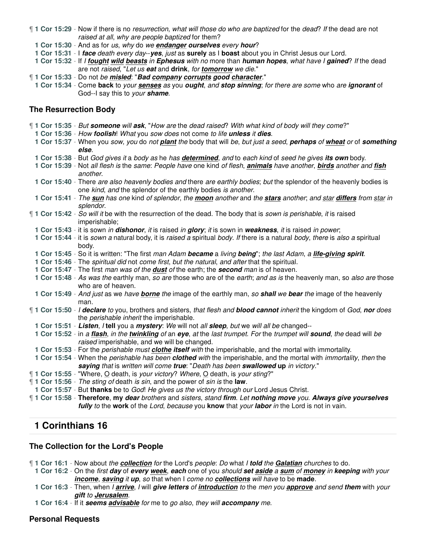- ¶ **1 Cor 15:29** Now if there is no resurrection, what will those do who are baptized for the dead? If the dead are not raised at all, why are people baptized for them?
	- **1 Cor 15:30** And as for us, why do we **endanger ourselves** every **hour**?
	- **1 Cor 15:31** I **face** death every day--**yes**, just as **surely** as I **boast** about you in Christ Jesus our Lord.
	- **1 Cor 15:32** If I **fought wild beasts** in **Ephesus** with no more than **human hopes**, what have I **gained**? If the dead are not raised, "Let us **eat** and **drink**, for **tomorrow** we die."
- ¶ **1 Cor 15:33** Do not be **misled**: "**Bad company corrupts good character**."
- **1 Cor 15:34** Come **back** to your **senses** as you **ought**, and **stop sinning**; for there are some who are **ignorant** of God--I say this to your **shame**.

#### **The Resurrection Body**

| "1 Cor 15:35 - But someone will ask, "How are the dead raised? With what kind of body will they come?"                        |
|-------------------------------------------------------------------------------------------------------------------------------|
| 1 Cor 15:36 - How foolish! What you sow does not come to life unless it dies.                                                 |
| 1 Cor 15:37 - When you sow, you do not plant the body that will be, but just a seed, perhaps of wheat or of something         |
| else.                                                                                                                         |
| 1 Cor 15:38 - But God gives it a body as he has determined, and to each kind of seed he gives its own body.                   |
| 1 Cor 15:39 - Not all flesh is the same: People have one kind of flesh, animals have another, birds another and fish          |
| another.                                                                                                                      |
| 1 Cor 15:40 - There are also heavenly bodies and there are earthly bodies; but the splendor of the heavenly bodies is         |
| one kind, and the splendor of the earthly bodies is another.                                                                  |
| 1 Cor 15:41 - The sun has one kind of splendor, the moon another and the stars another, and star differs from star in         |
| splendor.                                                                                                                     |
| 1 Cor 15:42 - So will it be with the resurrection of the dead. The body that is sown is perishable, it is raised              |
| imperishable;                                                                                                                 |
| 1 Cor 15:43 - it is sown in dishonor, it is raised in glory; it is sown in weakness, it is raised in power;                   |
| 1 Cor 15:44 - it is sown a natural body, it is raised a spiritual body. If there is a natural body, there is also a spiritual |
| body.                                                                                                                         |
| 1 Cor 15:45 - So it is written: "The first man Adam became a living being"; the last Adam, a life-giving spirit.              |
| 1 Cor 15:46 - The spiritual did not come first, but the natural, and after that the spiritual.                                |
| 1 Cor 15:47 - The first man was of the <b>dust</b> of the earth; the <b>second</b> man is of heaven.                          |
| 1 Cor 15:48 - As was the earthly man, so are those who are of the earth; and as is the heavenly man, so also are those        |
| who are of heaven.                                                                                                            |
| 1 Cor 15:49 - And just as we have borne the image of the earthly man, so shall we bear the image of the heavenly              |
| man.                                                                                                                          |
| 1 Cor 15:50 - I declare to you, brothers and sisters, that flesh and blood cannot inherit the kingdom of God, nor does        |
| the perishable inherit the imperishable.                                                                                      |
| 1 Cor 15:51 - Listen, / tell you a mystery: We will not all sleep, but we will all be changed--                               |
| 1 Cor 15:52 - in a flash, in the twinkling of an eye, at the last trumpet. For the trumpet will sound, the dead will be       |
| raised imperishable, and we will be changed.                                                                                  |
| 1 Cor 15:53 - For the perishable must clothe itself with the imperishable, and the mortal with immortality.                   |
| 1 Cor 15:54 - When the perishable has been clothed with the imperishable, and the mortal with immortality, then the           |
| saying that is written will come true: "Death has been swallowed up in victory."                                              |
| "1 Cor 15:55 - "Where, O death, is your victory? Where, O death, is your sting?"                                              |
| 1 Cor 15:56 - The sting of death is sin, and the power of sin is the law.                                                     |
| 1 Cor 15:57 - But thanks be to God! He gives us the victory through our Lord Jesus Christ.                                    |
| 1 Cor 15:58 - Therefore, my dear brothers and sisters, stand firm. Let nothing move you. Always give yourselves               |
| fully to the work of the Lord, because you know that your labor in the Lord is not in vain.                                   |

### **1 Corinthians 16**

#### **The Collection for the Lord's People**

¶ **1 Cor 16:1** - Now about the **collection** for the Lord's people: Do what I **told** the **Galatian** churches to do.

- **1 Cor 16:2** On the first **day** of **every week**, **each** one of you should **set aside** a **sum** of **money** in **keeping** with your **income**, **saving** it **up**, so that when I come no **collections** will have to be **made**.
- **1 Cor 16:3** Then, when I **arrive**, I will **give letters** of **introduction** to the men you **approve** and send **them** with your **gift** to **Jerusalem**.
- **1 Cor 16:4** If it **seems advisable** for me to go also, they will **accompany** me.

#### **Personal Requests**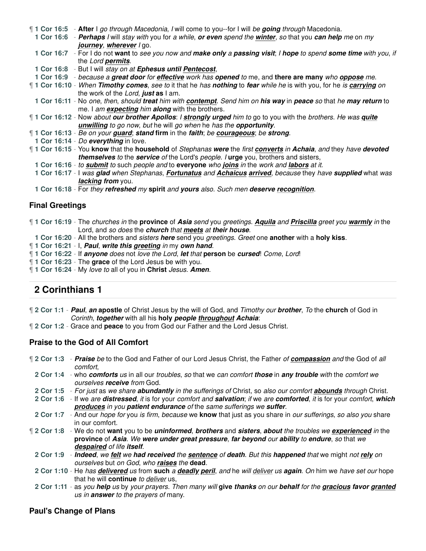¶ **1 Cor 16:5** - **After** I go through Macedonia, I will come to you--for I will be **going** through Macedonia.

**1 Cor 16:6** - **Perhaps** I will stay with you for a while, **or even** spend the **winter**, so that you **can help** me on my **journey**, **wherever** I go.

**1 Cor 16:7** - For I do not **want** to see you now and **make only** a **passing visit**; I **hope** to spend **some time** with you, if the Lord **permits**.

**1 Cor 16:8** - But I will stay on at **Ephesus until Pentecost**,

**1 Cor 16:9** - because a **great door** for **effective** work has **opened** to me, and **there are many** who **oppose** me.

¶ **1 Cor 16:10** - When **Timothy comes**, see to it that he has **nothing** to **fear** while he is with you, for he is **carrying** on the work of the Lord, **just as** I am.

**1 Cor 16:11** - No one, then, should **treat** him with **contempt**. Send him on **his way** in **peace** so that he **may return** to me. I am **expecting** him **along** with the brothers.

¶ **1 Cor 16:12** - Now about **our brother Apollos**: I **strongly urged** him to go to you with the brothers. He was **quite unwilling** to go now, but he will go when he has the **opportunity**.

- ¶ **1 Cor 16:13** Be on your **guard**; **stand firm** in the **faith**; be **courageous**; be **strong**.
- **1 Cor 16:14** Do **everything** in love.

¶ **1 Cor 16:15** - You **know** that the **household** of Stephanas **were** the first **converts** in **Achaia**, and they have **devoted themselves** to the **service** of the Lord's people. I **urge** you, brothers and sisters,

- **1 Cor 16:16** to **submit** to such people and to **everyone** who **joins** in the work and **labors** at it.
- **1 Cor 16:17** I was **glad** when Stephanas, **Fortunatus** and **Achaicus arrived**, because they have **supplied** what was **lacking from** you.

**1 Cor 16:18** - For they **refreshed** my **spirit** and **yours** also. Such men **deserve recognition**.

### **Final Greetings**

¶ **1 Cor 16:19** - The churches in the **province** of **Asia** send you greetings. **Aquila** and **Priscilla** greet you **warmly** in the Lord, and so does the **church** that **meets** at **their house**.

- **1 Cor 16:20** All the brothers and sisters **here** send you greetings. Greet one **another** with a **holy kiss**.
- ¶ **1 Cor 16:21** I, **Paul**, **write this greeting** in my **own hand**.
- ¶ **1 Cor 16:22** If **anyone** does not love the Lord, **let** that **person** be **cursed**! Come, Lord!
- ¶ **1 Cor 16:23** The **grace** of the Lord Jesus be with you.
- ¶ **1 Cor 16:24** My love to all of you in **Christ** Jesus. **Amen**.

# **2 Corinthians 1**

- ¶ **2 Cor 1:1 Paul**, **an apostle** of Christ Jesus by the will of God, and Timothy our **brother**, To the **church** of God in Corinth, **together** with all his **holy people throughout Achaia**:
- ¶ **2 Cor 1:2** Grace and **peace** to you from God our Father and the Lord Jesus Christ.

#### **Praise to the God of All Comfort**

¶ **2 Cor 1:3** - **Praise** be to the God and Father of our Lord Jesus Christ, the Father of **compassion** and the God of all comfort,

- **2 Cor 1:4** who **comforts** us in all our troubles, so that we can comfort **those** in **any trouble** with the comfort we ourselves **receive** from God.
- **2 Cor 1:5** For just as we share **abundantly** in the sufferings of Christ, so also our comfort **abounds** through Christ.
- **2 Cor 1:6** If we are **distressed**, it is for your comfort and **salvation**; if we are **comforted**, it is for your comfort, **which produces** in you **patient endurance** of the same sufferings we **suffer**.
- **2 Cor 1:7** And our hope for you is firm, because we **know** that just as you share in our sufferings, so also you share in our comfort.
- ¶ **2 Cor 1:8** We do not **want** you to be **uninformed**, **brothers** and **sisters**, **about** the troubles we **experienced** in the **province** of **Asia**. We **were under great pressure**, **far beyond** our **ability** to **endure**, so that we **despaired** of life **itself**.

**2 Cor 1:9** - **Indeed**, we **felt** we **had received** the **sentence** of **death**. But this **happened** that we might not **rely** on ourselves but on God, who **raises** the **dead**.

- **2 Cor 1:10** He has **delivered** us from **such** a **deadly peril**, and he will deliver us **again**. On him we have set our hope that he will **continue** to deliver us,
- **2 Cor 1:11** as you **help** us by your prayers. Then many will **give thanks** on our **behalf** for the **gracious favor granted** us in **answer** to the prayers of many.

#### **Paul's Change of Plans**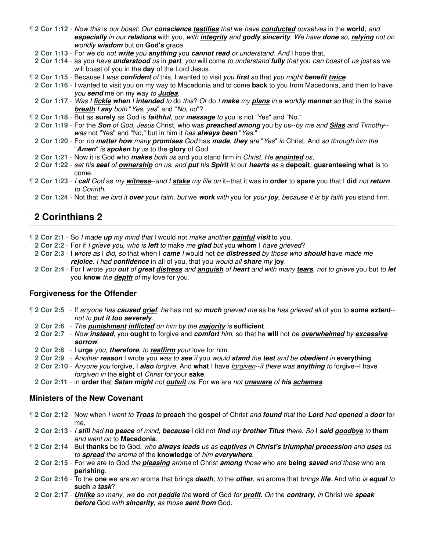- ¶ **2 Cor 1:12** Now this is our boast: Our **conscience testifies** that we have **conducted** ourselves in the **world**, and **especially** in our **relations** with you, with **integrity** and **godly sincerity**. We have **done** so, **relying** not on worldly **wisdom** but on **God's** grace.
- **2 Cor 1:13** For we do not **write** you **anything** you **cannot read** or understand. And I hope that,
- **2 Cor 1:14** as you have **understood** us in **part**, you will come to understand **fully** that you can boast of us just as we will boast of you in the **day** of the Lord Jesus.
- ¶ **2 Cor 1:15** Because I was **confident** of this, I wanted to visit you **first** so that you might **benefit twice**.
- **2 Cor 1:16** I wanted to visit you on my way to Macedonia and to come **back** to you from Macedonia, and then to have you **send** me on my way to **Judea**.
- **2 Cor 1:17** Was I **fickle when** I **intended** to do this? Or do I **make** my **plans** in a worldly **manner** so that in the same **breath** I **say** both "Yes, yes" and "No, no"?
- ¶ **2 Cor 1:18** But as **surely** as God is **faithful**, our **message** to you is not "Yes" and "No."
- **2 Cor 1:19** For the **Son** of God, Jesus Christ, who was **preached among** you by us--by me and **Silas** and Timothy- was not "Yes" and "No," but in him it has **always been** "Yes."
- **2 Cor 1:20** For no **matter how** many **promises** God has **made**, **they** are "Yes" in Christ. And so through him the "**Amen**" is **spoken** by us to the **glory** of God.
- **2 Cor 1:21** Now it is God who **makes** both us and you stand firm in Christ. He **anointed** us,
- **2 Cor 1:22** set his **seal** of **ownership** on us, and **put** his **Spirit** in our **hearts** as a **deposit**, **guaranteeing what** is to come.
- ¶ **2 Cor 1:23** I **call** God as my **witness**--and I **stake** my life on it--that it was in **order** to **spare** you that I **did** not **return** to Corinth.
	- **2 Cor 1:24** Not that we lord it **over** your faith, but we **work** with you for your **joy**, because it is by faith you stand firm.

- ¶ **2 Cor 2:1** So I made **up** my mind that I would not make another **painful visit** to you.
- **2 Cor 2:2** For if I grieve you, who is **left** to make me **glad** but you **whom** I have grieved?
- **2 Cor 2:3** I wrote as I did, so that when I **came** I would not be **distressed** by those who **should** have made me **rejoice**. I had **confidence** in all of you, that you would all **share** my **joy**.
- **2 Cor 2:4** For I wrote you **out** of **great distress** and **anguish** of **heart** and with many **tears**, not to grieve you but to **let** you **know** the **depth** of my love for you.

#### **Forgiveness for the Offender**

- ¶ **2 Cor 2:5** If anyone has **caused grief**, he has not so **much** grieved me as he has grieved all of you to **some extent** not to **put it too severely**.
	- **2 Cor 2:6** The **punishment inflicted** on him by the **majority** is **sufficient**.
	- **2 Cor 2:7** Now **instead**, you **ought** to forgive and **comfort** him, so that he **will** not be **overwhelmed** by **excessive sorrow**.
	- **2 Cor 2:8** I **urge** you, **therefore**, to **reaffirm** your love for him.
	- **2 Cor 2:9** Another **reason** I wrote you was to **see** if you would **stand** the **test** and be **obedient** in **everything**.
	- **2 Cor 2:10** Anyone you forgive, I **also** forgive. And **what** I have forgiven--if there was **anything** to forgive--I have forgiven in the **sight** of Christ for your **sake**,
	- **2 Cor 2:11** in **order** that **Satan might** not **outwit** us. For we are not **unaware** of **his schemes**.

#### **Ministers of the New Covenant**

- ¶ **2 Cor 2:12** Now when I went to **Troas** to **preach** the **gospel** of Christ and **found** that the **Lord** had **opened** a **door** for me,
- **2 Cor 2:13** I **still** had **no peace** of mind, **because** I did not **find** my **brother Titus** there. So I **said goodbye** to **them** and went on to **Macedonia**.
- ¶ **2 Cor 2:14** But **thanks** be to God, who **always leads** us as **captives** in **Christ's triumphal procession** and **uses** us to **spread** the aroma of the **knowledge** of him **everywhere**.
	- **2 Cor 2:15** For we are to God the **pleasing** aroma of Christ **among** those who are **being saved** and those who are **perishing**.
	- **2 Cor 2:16** To the **one** we are an aroma that brings **death**; to the **other**, an aroma that brings **life**. And who is **equal** to **such** a **task**?
	- **2 Cor 2:17 Unlike** so many, we **do** not **peddle** the **word** of God for **profit**. On the **contrary**, in Christ we **speak before** God with **sincerity**, as those **sent from** God.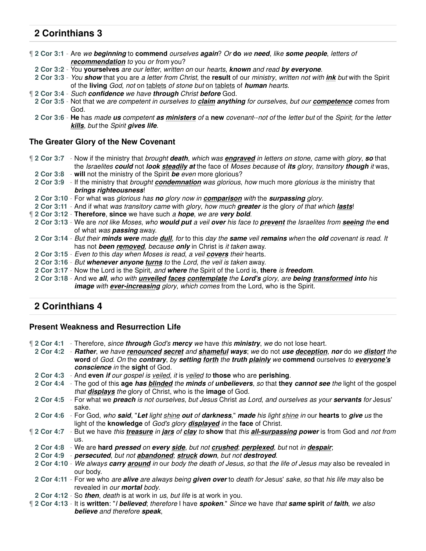¶ **2 Cor 3:1** - Are we **beginning** to **commend** ourselves **again**? Or **do** we **need**, like **some people**, letters of **recommendation** to you or from you?

**2 Cor 3:2** - You **yourselves** are our letter, written on our hearts, **known** and read **by everyone**.

**2 Cor 3:3** - You **show** that you are a letter from Christ, the **result** of our ministry, written not with **ink** but with the Spirit of the **living** God, not on tablets of stone but on tablets of **human** hearts.

- ¶ **2 Cor 3:4** Such **confidence** we have **through** Christ **before** God.
- **2 Cor 3:5** Not that we are competent in ourselves to **claim anything** for ourselves, but our **competence** comes from God.
- **2 Cor 3:6 He** has made **us** competent **as ministers** of a **new** covenant--not of the letter but of the Spirit; for the letter **kills**, but the Spirit **gives life**.

### **The Greater Glory of the New Covenant**

¶ **2 Cor 3:7** - Now if the ministry that brought **death**, which was **engraved** in letters on stone, came with glory, **so** that the Israelites **could** not **look steadily at** the face of Moses because of **its** glory, transitory **though** it was,

- **2 Cor 3:8 will** not the ministry of the Spirit **be** even more glorious?
- **2 Cor 3:9** If the ministry that brought **condemnation** was glorious, how much more glorious is the ministry that **brings righteousness**!
- **2 Cor 3:10** For what was glorious has **no** glory now in **comparison** with the **surpassing** glory.
- **2 Cor 3:11** And if what was transitory came with glory, how much **greater** is the glory of that which **lasts**!
- ¶ **2 Cor 3:12 Therefore**, **since** we have such a **hope**, we are **very bold**.
	- **2 Cor 3:13** We are not like Moses, who **would put** a veil **over** his face to **prevent** the Israelites from **seeing** the **end** of what was **passing** away.
	- **2 Cor 3:14** But their **minds were** made **dull**, for to this day the **same** veil **remains** when the **old** covenant is read. It has not **been removed**, because **only** in Christ is it taken away.
	- **2 Cor 3:15** Even to this day when Moses is read, a veil **covers** their hearts.
	- **2 Cor 3:16** But **whenever anyone turns** to the Lord, the veil is taken away.
	- **2 Cor 3:17** Now the Lord is the Spirit, and **where** the Spirit of the Lord is, **there** is **freedom**.
	- **2 Cor 3:18** And we **all**, who with **unveiled faces contemplate** the **Lord's** glory, are **being transformed into** his *image with ever-increasing glory, which comes from the Lord, who is the Spirit.*

### **2 Corinthians 4**

#### **Present Weakness and Resurrection Life**

¶ **2 Cor 4:1** - Therefore, since **through** God's **mercy** we have this **ministry**, we do not lose heart.

- **2 Cor 4:2 Rather**, we have **renounced secret** and **shameful ways**; we do not **use deception**, **nor** do we **distort** the **word** of God. On the **contrary**, by **setting forth** the **truth plainly** we **commend** ourselves to **everyone's conscience** in the **sight** of God.
- **2 Cor 4:3** And **even if** our gospel is veiled, it is veiled to **those** who are **perishing**.
- **2 Cor 4:4** The god of this **age has blinded** the **minds** of **unbelievers**, so that **they cannot see** the light of the gospel that **displays** the glory of Christ, who is the **image** of God.
- **2 Cor 4:5** For what we **preach** is not ourselves, but Jesus Christ as Lord, and ourselves as your **servants** for Jesus' sake.
- **2 Cor 4:6** For God, who **said**, "**Let** light shine **out** of **darkness**," **made** his light shine in our **hearts** to **give** us the light of the **knowledge** of God's glory **displayed** in the **face** of Christ.
- ¶ **2 Cor 4:7** But we have this **treasure** in **jars** of **clay** to **show** that this **all-surpassing power** is from God and not from us.
- **2 Cor 4:8** We are **hard pressed** on **every side**, but not **crushed**; **perplexed**, but not in **despair**;
- **2 Cor 4:9 persecuted**, but not **abandoned**; **struck down**, but not **destroyed**.
- **2 Cor 4:10** We always **carry around** in our body the death of Jesus, so that the life of Jesus may also be revealed in our body.
- **2 Cor 4:11** For we who are **alive** are always being **given over** to death for Jesus' sake, so that his life may also be revealed in our **mortal** body.
- **2 Cor 4:12** So **then**, death is at work in us, but life is at work in you.
- ¶ **2 Cor 4:13** It is **written**: "I **believed**; therefore I have **spoken**." Since we have that **same spirit** of **faith**, we also **believe** and therefore **speak**,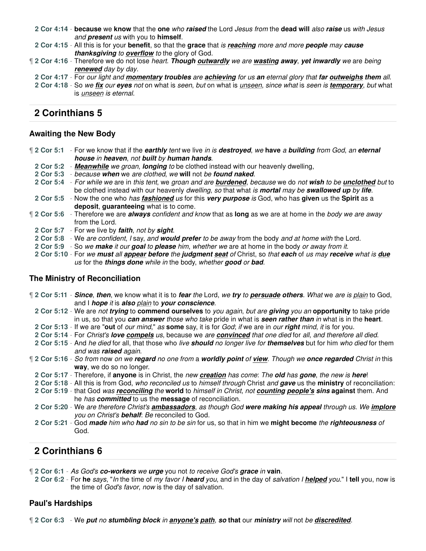- **2 Cor 4:14 because** we **know** that the **one** who **raised** the Lord Jesus from the **dead will** also **raise** us with Jesus and **present** us with you to **himself**.
- **2 Cor 4:15** All this is for your **benefit**, so that the **grace** that is **reaching** more and more **people** may **cause thanksgiving** to **overflow** to the glory of God.
- ¶ **2 Cor 4:16** Therefore we do not lose heart. **Though outwardly** we are **wasting away**, **yet inwardly** we are being **renewed** day by day.
- **2 Cor 4:17** For our light and **momentary troubles** are **achieving** for us **an** eternal glory that **far outweighs them** all.
- **2 Cor 4:18** So we **fix** our **eyes** not on what is seen, but on what is unseen, since what is seen is **temporary**, but what is unseen is eternal.

### **Awaiting the New Body**

- ¶ **2 Cor 5:1** For we know that if the **earthly** tent we live in is **destroyed**, we **have** a **building** from God, an **eternal house** in **heaven**, not **built** by **human hands**.
	- **2 Cor 5:2 Meanwhile** we groan, **longing** to be clothed instead with our heavenly dwelling,
	- **2 Cor 5:3** because **when** we are clothed, we **will** not be **found naked**.
	- **2 Cor 5:4** For while we are in this tent, we groan and are **burdened**, because we do not **wish** to be **unclothed** but to be clothed instead with our heavenly dwelling, so that what is **mortal** may be **swallowed up** by **life**.
- **2 Cor 5:5** Now the one who has **fashioned** us for this **very purpose** is God, who has **given** us the **Spirit** as a **deposit**, **guaranteeing** what is to come.
- ¶ **2 Cor 5:6** Therefore we are **always** confident and know that as **long** as we are at home in the body we are away from the Lord.
	- **2 Cor 5:7** For we live by **faith**, not by **sight**.
	- **2 Cor 5:8** We are confident, I say, and **would prefer** to be away from the body and at home with the Lord.
	- **2 Cor 5:9** So we **make** it our **goal** to **please** him, whether we are at home in the body or away from it.
	- **2 Cor 5:10** For we **must** all **appear before** the **judgment seat** of Christ, so that **each** of us may **receive** what is **due** us for the **things done** while in the body, whether **good** or **bad**.

### **The Ministry of Reconciliation**

¶ **2 Cor 5:11** - **Since**, **then**, we know what it is to **fear** the Lord, we **try** to **persuade others**. What we are is plain to God, and I **hope** it is **also** plain to **your conscience**. **2 Cor 5:12** - We are not **trying** to **commend ourselves** to you again, but are **giving** you an **opportunity** to take pride in us, so that you **can answer** those who take pride in what is **seen rather than** in what is in the **heart**. **2 Cor 5:13** - If we are "**out** of our mind," as **some** say, it is for God; if we are in our **right** mind, it is for you. **2 Cor 5:14** - For Christ's **love compels** us, because we are **convinced** that one died for all, and therefore all died. **2 Cor 5:15** - And he died for all, that those who live **should** no longer live for **themselves** but for him who died for them and was **raised** again. ¶ **2 Cor 5:16** - So from now on we **regard** no one from a **worldly point** of **view**. Though we **once regarded** Christ in this **way**, we do so no longer. **2 Cor 5:17** - Therefore, if **anyone** is in Christ, the new **creation** has come: The **old** has **gone**, the new is **here**! **2 Cor 5:18** - All this is from God, who reconciled us to himself through Christ and **gave** us the **ministry** of reconciliation: **2 Cor 5:19** - that God was **reconciling** the **world** to himself in Christ, not **counting people's sins against** them. And he has **committed** to us the **message** of reconciliation. **2 Cor 5:20** - We are therefore Christ's **ambassadors**, as though God **were making his appeal** through us. We **implore** you on Christ's **behalf**: Be reconciled to God. **2 Cor 5:21** - God **made** him who **had** no sin to be sin for us, so that in him we **might become** the **righteousness** of God.

# **2 Corinthians 6**

¶ **2 Cor 6:1** - As God's **co-workers** we **urge** you not to receive God's **grace** in **vain**.

**2 Cor 6:2** - For **he** says, "In the time of my favor I **heard** you, and in the day of salvation I **helped** you." I **tell** you, now is the time of God's favor, now is the day of salvation.

### **Paul's Hardships**

¶ **2 Cor 6:3** - We **put** no **stumbling block** in **anyone's path**, **so that** our **ministry** will not be **discredited**.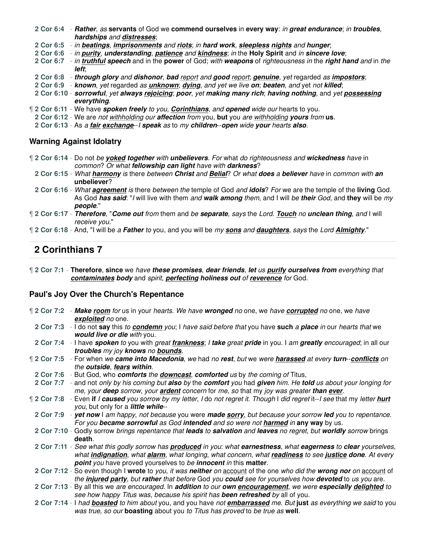**2 Cor 6:4** - **Rather**, as **servants** of God we **commend ourselves** in **every way**: in **great endurance**; in **troubles**, **hardships** and **distresses**;

**2 Cor 6:5** - in **beatings**, **imprisonments** and **riots**; in **hard work**, **sleepless nights** and **hunger**;

**2 Cor 6:6** - in **purity**, **understanding**, **patience** and **kindness**; in the **Holy Spirit** and in **sincere love**;

**2 Cor 6:7** - in **truthful speech** and in the **power** of God; with **weapons** of righteousness in the **right hand** and in the **left**;

- **2 Cor 6:8 through glory** and **dishonor**, **bad** report and **good** report; **genuine**, yet regarded as **impostors**;
- **2 Cor 6:9 known**, yet regarded as **unknown**; **dying**, and yet we live **on**; **beaten**, and yet not **killed**;
- **2 Cor 6:10 sorrowful**, yet **always rejoicing**; **poor**, yet **making many rich**; **having nothing**, and yet **possessing everything**.
- ¶ **2 Cor 6:11** We have **spoken freely** to you, **Corinthians**, and **opened** wide our hearts to you.
	- **2 Cor 6:12** We are not withholding our **affection** from you, **but** you are withholding **yours** from **us**.
	- **2 Cor 6:13** As a **fair exchange**--I **speak** as to my **children**--**open** wide **your** hearts **also**.

#### **Warning Against Idolatry**

- ¶ **2 Cor 6:14** Do not be **yoked together** with **unbelievers**. For what do righteousness and **wickedness** have in common? Or what **fellowship can light** have with **darkness**?
- **2 Cor 6:15** What **harmony** is there between **Christ** and **Belial**? Or what **does** a **believer** have in common with **an unbeliever**?
- **2 Cor 6:16** What **agreement** is there between the temple of God and **idols**? For we are the temple of the **living** God. As God **has said**: "I will live with them and **walk among** them, and I will be **their** God, and **they** will be my **people**."
- ¶ **2 Cor 6:17 Therefore**, "**Come out** from them and be **separate**, says the Lord. **Touch** no **unclean thing**, and I will receive you."
- ¶ **2 Cor 6:18** And, "I will be a **Father** to you, and you will be my **sons** and **daughters**, says the Lord **Almighty**."

### **2 Corinthians 7**

¶ **2 Cor 7:1** - **Therefore**, **since** we have **these promises**, **dear friends**, **let** us **purify ourselves from** everything that **contaminates body** and spirit, **perfecting holiness out** of **reverence** for God.

#### **Paul's Joy Over the Church's Repentance**

- ¶ **2 Cor 7:2 Make room** for us in your hearts. We have **wronged** no one, we have **corrupted** no one, we have **exploited** no one. **2 Cor 7:3** - I do not **say** this to **condemn** you; I have said before that you have **such** a **place** in our hearts that we **would live or die** with you. **2 Cor 7:4** - I have **spoken** to you with great **frankness**; I **take** great **pride** in you. I am **greatly** encouraged; in all our **troubles** my joy **knows** no **bounds**. ¶ **2 Cor 7:5** - For when we **came into Macedonia**, we had no **rest**, but we were **harassed** at every **turn**--**conflicts** on the **outside**, **fears within**. **2 Cor 7:6** - But God, who **comforts** the **downcast**, **comforted** us by the coming of Titus, **2 Cor 7:7** - and not only by his coming but **also** by the **comfort** you had **given** him. He **told** us about your longing for me, your **deep** sorrow, your **ardent** concern for me, so that my joy was greater **than ever**. ¶ **2 Cor 7:8** - Even **if** I **caused** you sorrow by my letter, I do not regret it. Though I did regret it--I see that my letter **hurt** you, but only for a **little while**-- **2 Cor 7:9** - **yet now** I am happy, not because you were **made sorry**, but because your sorrow **led** you to repentance. For you **became sorrowful** as God **intended** and so were not **harmed** in **any way** by us. **2 Cor 7:10** - Godly sorrow brings repentance that **leads** to **salvation** and **leaves** no regret, but **worldly** sorrow brings **death**. **2 Cor 7:11** - See what this godly sorrow has **produced** in you: what **earnestness**, what **eagerness** to **clear** yourselves, what **indignation**, what **alarm**, what longing, what concern, what **readiness** to see **justice done**. At every **point** you have proved yourselves to be **innocent** in this **matter**. **2 Cor 7:12** - So even though I **wrote** to you, it was **neither** on account of the one who did the **wrong nor** on account of the **injured party**, but **rather** that before God you **could** see for yourselves how **devoted** to us you are. **2 Cor 7:13** - By all this we are encouraged. In **addition** to our **own encouragement**, we were **especially delighted** to see how happy Titus was, because his spirit has **been refreshed** by all of you. **2 Cor 7:14** - I had **boasted** to him about you, and you have not **embarrassed** me. But **just** as everything we said to you
	- was true, so our **boasting** about you to Titus has proved to be true as **well**.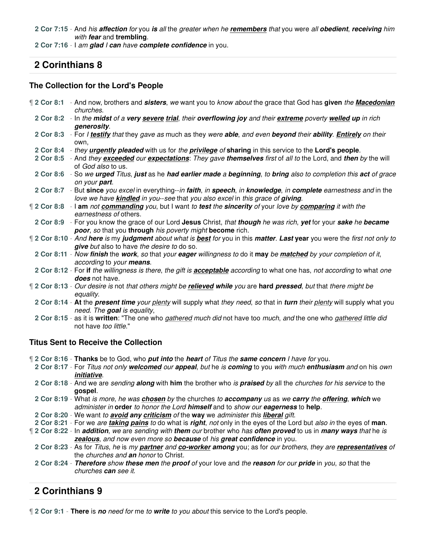**2 Cor 7:15** - And his **affection** for you **is** all the greater when he **remembers** that you were all **obedient**, **receiving** him with **fear** and **trembling**.

**2 Cor 7:16** - I am **glad** I **can** have **complete confidence** in you.

# **2 Corinthians 8**

### **The Collection for the Lord's People**

| 12 Cor 8:1 - And now, brothers and sisters, we want you to know about the grace that God has given the Macedonian<br>churches.                                                                       |
|------------------------------------------------------------------------------------------------------------------------------------------------------------------------------------------------------|
| 2 Cor 8:2 - In the midst of a very severe trial, their overflowing joy and their extreme poverty welled up in rich<br>generosity.                                                                    |
| 2 Cor 8:3 - For I testify that they gave as much as they were able, and even beyond their ability. Entirely on their<br>own.                                                                         |
| 2 Cor 8:4 - they <i>urgently pleaded</i> with us for the <i>privilege</i> of sharing in this service to the Lord's people.                                                                           |
| 2 Cor 8:5 - And they exceeded our expectations: They gave themselves first of all to the Lord, and then by the will<br>of God also to us.                                                            |
| 2 Cor 8:6 - So we urged Titus, just as he had earlier made a beginning, to bring also to completion this act of grace<br>on your part.                                                               |
| 2 Cor 8:7 - But since you excel in everything--in faith, in speech, in knowledge, in complete earnestness and in the<br>love we have kindled in you-see that you also excel in this grace of giving. |
| 12 Cor 8:8 - I am not commanding you, but I want to test the sincerity of your love by comparing it with the<br>earnestness of others.                                                               |
| 2 Cor 8:9 - For you know the grace of our Lord Jesus Christ, that though he was rich, yet for your sake he became<br>poor, so that you through his poverty might become rich.                        |
| 12 Cor 8:10 - And here is my judgment about what is best for you in this matter. Last year you were the first not only to<br>give but also to have the desire to do so.                              |
| 2 Cor 8:11 - Now finish the work, so that your eager willingness to do it may be matched by your completion of it,<br>according to your means.                                                       |
| 2 Cor 8:12 - For if the willingness is there, the gift is <b>acceptable</b> according to what one has, not according to what one<br><b>does</b> not have.                                            |
| 12 Cor 8:13 - Our desire is not that others might be relieved while you are hard pressed, but that there might be<br>equality.                                                                       |
| 2 Cor 8:14 - At the present time your plenty will supply what they need, so that in turn their plenty will supply what you<br>need. The goal is equality,                                            |
| 2 Cor 8:15 - as it is written: "The one who gathered much did not have too much, and the one who gathered little did<br>not have too little."                                                        |

### **Titus Sent to Receive the Collection**

¶ **2 Cor 8:16** - **Thanks** be to God, who **put into** the **heart** of Titus the **same concern** I have for you.

**2 Cor 8:17** - For Titus not only **welcomed** our **appeal**, but he is **coming** to you with much **enthusiasm** and on his own **initiative**.

- **2 Cor 8:18** And we are sending **along** with **him** the brother who is **praised** by all the churches for his service to the **gospel**.
- **2 Cor 8:19** What is more, he was **chosen** by the churches to **accompany** us as we **carry** the **offering**, **which** we administer in **order** to honor the Lord **himself** and to show our **eagerness** to **help**.
- **2 Cor 8:20** We want to **avoid any criticism** of the **way** we administer this **liberal** gift.

**2 Cor 8:21** - For we are **taking pains** to do what is **right**, not only in the eyes of the Lord but also in the eyes of **man**.

- ¶ **2 Cor 8:22** In **addition**, we are sending with **them** our brother who has **often proved** to us in **many ways** that he is **zealous**, and now even more so **because** of his **great confidence** in you.
- **2 Cor 8:23** As for Titus, he is my **partner** and **co-worker among** you; as for our brothers, they are **representatives** of the churches and **an** honor to Christ.

**2 Cor 8:24** - **Therefore** show **these men** the **proof** of your love and the **reason** for our **pride** in you, so that the churches **can** see it.

# **2 Corinthians 9**

¶ **2 Cor 9:1** - **There** is **no** need for me to **write** to you about this service to the Lord's people.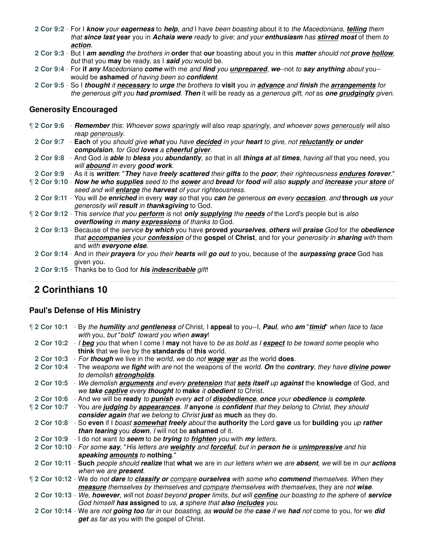- **2 Cor 9:2** For I **know** your **eagerness** to **help**, and I have been boasting about it to the Macedonians, **telling** them that **since last year** you in **Achaia were** ready to give; and your **enthusiasm** has **stirred most** of them to **action**.
- **2 Cor 9:3** But I **am sending** the brothers in **order** that **our** boasting about you in this **matter** should not **prove hollow**, but that you **may** be ready, as I **said** you would be.
- **2 Cor 9:4** For **if any** Macedonians **come** with me and **find** you **unprepared**, **we**--not to **say anything** about you- would be **ashamed** of having been so **confident**.
- **2 Cor 9:5** So I **thought** it **necessary** to **urge** the brothers to **visit** you in **advance** and **finish** the **arrangements** for the generous gift you **had promised**. **Then** it will be ready as a generous gift, not as **one grudgingly** given.

#### **Generosity Encouraged**

- ¶ **2 Cor 9:6 Remember** this: Whoever sows sparingly will also reap sparingly, and whoever sows generously will also reap generously.
- **2 Cor 9:7 Each** of you should give **what** you have **decided** in your **heart** to give, not **reluctantly or under compulsion**, for God **loves** a **cheerful giver**.
- **2 Cor 9:8** And God is **able** to **bless** you **abundantly**, so that in all **things at** all **times**, having all that you need, you will **abound** in every **good work**.
- **2 Cor 9:9** As it is **written**: "**They** have **freely scattered** their **gifts** to the **poor**; their righteousness **endures forever**."
- ¶ **2 Cor 9:10 Now he who supplies** seed to the **sower** and **bread** for **food** will also **supply** and **increase** your **store** of seed and will **enlarge** the **harvest** of your righteousness.
- **2 Cor 9:11** You will be **enriched** in every **way** so that you **can** be generous **on** every **occasion**, and **through us** your generosity will **result** in **thanksgiving** to God.
- ¶ **2 Cor 9:12** This service that you **perform** is not **only supplying** the **needs** of the Lord's people but is also **overflowing** in **many expressions** of thanks to God.
	- **2 Cor 9:13** Because of the service **by which** you have **proved yourselves**, **others** will **praise** God for the **obedience** that **accompanies** your **confession** of the **gospel** of **Christ**, and for your generosity in **sharing** with them and with **everyone else**.
	- **2 Cor 9:14** And in their **prayers** for you their **hearts** will **go out** to you, because of the **surpassing grace** God has given you.
	- **2 Cor 9:15** Thanks be to God for **his indescribable** gift!

# **2 Corinthians 10**

#### **Paul's Defense of His Ministry**

| 2 Cor 10:1 - By the <b>humility</b> and gentleness of Christ, I appeal to you--I, Paul, who am "timid" when face to face |
|--------------------------------------------------------------------------------------------------------------------------|
| with you, but "bold" toward you when away!                                                                               |
| 2 Cor 10:2 - I beg you that when I come I may not have to be as bold as I expect to be toward some people who            |
| think that we live by the standards of this world.                                                                       |
| 2 Cor 10:3 - For though we live in the world, we do not wage war as the world does.                                      |
| 2 Cor 10:4 - The weapons we fight with are not the weapons of the world. On the contrary, they have divine power         |
| to demolish strongholds.                                                                                                 |
| 2 Cor 10:5 - We demolish arguments and every pretension that sets itself up against the knowledge of God, and            |
| we take captive every thought to make it obedient to Christ.                                                             |
| 2 Cor 10:6 - And we will be ready to punish every act of disobedience, once your obedience is complete.                  |
| 12 Cor 10:7 - You are judging by appearances. If anyone is confident that they belong to Christ, they should             |
| consider again that we belong to Christ just as much as they do.                                                         |
| 2 Cor 10:8 - So even if I boast somewhat freely about the authority the Lord gave us for building you up rather          |
| than tearing you down, I will not be ashamed of it.                                                                      |
| 2 Cor 10:9 - I do not want to seem to be trying to frighten you with my letters.                                         |
| 2 Cor 10:10 - For some say, "His letters are weighty and forceful, but in person he is unimpressive and his              |
| speaking amounts to nothing."                                                                                            |
| 2 Cor 10:11 - Such people should realize that what we are in our letters when we are absent, we will be in our actions   |
| when we are <b>present</b> .                                                                                             |
| [2 Cor 10:12 - We do not dare to classify or compare ourselves with some who commend themselves. When they               |
| measure themselves by themselves and compare themselves with themselves, they are not wise.                              |
| 2 Cor 10:13 - We, however, will not boast beyond proper limits, but will confine our boasting to the sphere of service   |
| God himself has assigned to us, a sphere that also includes you.                                                         |
| 2 Cor 10:14 - We are not going too far in our boasting, as would be the case if we had not come to you, for we did       |
| get as far as you with the gospel of Christ.                                                                             |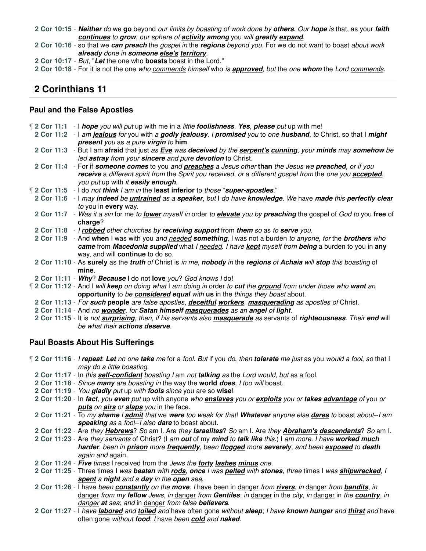**2 Cor 10:15** - **Neither** do we **go** beyond our limits by boasting of work done by **others**. Our **hope** is that, as your **faith continues** to **grow**, our sphere of **activity among** you will **greatly expand**,

**2 Cor 10:16** - so that we **can preach** the gospel in the **regions** beyond you. For we do not want to boast about work **already** done in **someone else's territory**.

**2 Cor 10:17** - But, "**Let** the one who **boasts** boast in the Lord."

**2 Cor 10:18** - For it is not the one who commends himself who is **approved**, but the one **whom** the Lord commends.

### **2 Corinthians 11**

#### **Paul and the False Apostles**

| [2 Cor 11:1 - I hope you will put up with me in a little foolishness. Yes, please put up with me!                      |
|------------------------------------------------------------------------------------------------------------------------|
| 2 Cor 11:2 - I am jealous for you with a godly jealousy. I promised you to one husband, to Christ, so that I might     |
| present you as a pure virgin to him.                                                                                   |
| 2 Cor 11:3 - But I am afraid that just as Eve was deceived by the serpent's cunning, your minds may somehow be         |
| led astray from your sincere and pure devotion to Christ.                                                              |
| 2 Cor 11:4 - For if someone comes to you and preaches a Jesus other than the Jesus we preached, or if you              |
| receive a different spirit from the Spirit you received, or a different gospel from the one you accepted,              |
| you put up with it easily enough.                                                                                      |
| "2 Cor 11:5 - I do not think I am in the least inferior to those "super-apostles."                                     |
| 2 Cor 11:6 - I may indeed be untrained as a speaker, but I do have knowledge. We have made this perfectly clear        |
| to you in every way.                                                                                                   |
| 2 Cor 11:7 - Was it a sin for me to lower myself in order to elevate you by preaching the gospel of God to you free of |
| charge?                                                                                                                |
| 2 Cor 11:8 - I robbed other churches by receiving support from them so as to serve you.                                |
| 2 Cor 11:9 - And when I was with you and needed something, I was not a burden to anyone, for the brothers who          |
| came from Macedonia supplied what I needed. I have kept myself from being a burden to you in any                       |
| way, and will continue to do so.                                                                                       |
| 2 Cor 11:10 - As surely as the truth of Christ is in me, nobody in the regions of Achaia will stop this boasting of    |
| mine.                                                                                                                  |
| 2 Cor 11:11 - Why? Because I do not love you? God knows I do!                                                          |
| If 2 Cor 11:12 - And I will keep on doing what I am doing in order to cut the ground from under those who want an      |
| opportunity to be considered equal with us in the things they boast about.                                             |
| 2 Cor 11:13 - For such people are false apostles, deceitful workers, masquerading as apostles of Christ.               |
| 2 Cor 11:14 - And no wonder, for Satan himself masquerades as an angel of light.                                       |
| 2 Cor 11:15 - It is not surprising, then, if his servants also masquerade as servants of righteousness. Their end will |
| be what their actions deserve.                                                                                         |
|                                                                                                                        |

#### **Paul Boasts About His Sufferings**

¶ **2 Cor 11:16** - I **repeat**: **Let** no one **take** me for a fool. But if you do, then **tolerate** me just as you would a fool, so that I may do a little boasting.

- **2 Cor 11:17** In this **self-confident** boasting I am not **talking** as the Lord would, but as a fool.
- **2 Cor 11:18** Since **many** are boasting in the way the **world does**, I too will boast.
- **2 Cor 11:19** You **gladly** put up with **fools** since you are so **wise**!
- **2 Cor 11:20** In **fact**, you **even** put up with anyone who **enslaves** you or **exploits** you or **takes advantage** of you or **puts** on **airs** or **slaps** you in the face.
- **2 Cor 11:21** To my **shame** I **admit** that we **were** too weak for that! **Whatever** anyone else **dares** to boast about--I am **speaking** as a fool--I also **dare** to boast about.
- **2 Cor 11:22** Are they **Hebrews**? So am I. Are they **Israelites**? So am I. Are they **Abraham's descendants**? So am I.
- **2 Cor 11:23** Are they servants of Christ? (I am **out** of my **mind** to **talk like** this.) I am more. I have **worked much harder**, been in **prison** more **frequently**, been **flogged** more **severely**, and been **exposed** to **death** again and again.
- **2 Cor 11:24 Five** times I received from the Jews the **forty lashes minus** one.

**2 Cor 11:25** - Three times I was **beaten** with **rods**, **once** I was **pelted** with **stones**, three times I was **shipwrecked**, I **spent** a **night** and a **day** in the **open** sea,

- **2 Cor 11:26** I have been **constantly** on the **move**. I have been in danger from **rivers**, in danger from **bandits**, in danger from my **fellow** Jews, in danger from **Gentiles**; in danger in the city, in danger in the **country**, in danger **at** sea; and in danger from false **believers**.
- **2 Cor 11:27** I have **labored** and **toiled** and have often gone without **sleep**; I have **known hunger** and **thirst** and have often gone without **food**; I have been **cold** and **naked**.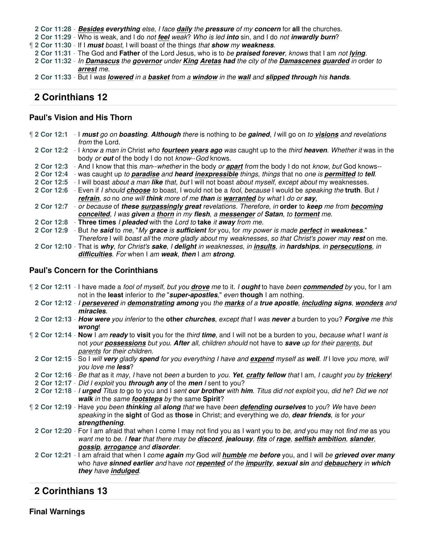**2 Cor 11:28** - **Besides everything** else, I face **daily** the **pressure** of my **concern** for **all** the churches.

**2 Cor 11:29** - Who is weak, and I do not **feel** weak? Who is led **into** sin, and I do not **inwardly burn**?

¶ **2 Cor 11:30** - If I **must** boast, I will boast of the things that **show** my **weakness**.

- **2 Cor 11:31** The God and **Father** of the Lord Jesus, who is to be **praised forever**, knows that I am not **lying**.
- **2 Cor 11:32** In **Damascus** the **governor** under **King Aretas had** the city of the **Damascenes guarded** in order to **arrest** me.
- **2 Cor 11:33** But I was **lowered** in a **basket** from a **window** in the **wall** and **slipped through** his **hands**.

# **2 Corinthians 12**

### **Paul's Vision and His Thorn**

| 12 Cor 12:1 | - I must go on boasting. Although there is nothing to be gained, I will go on to visions and revelations                     |
|-------------|------------------------------------------------------------------------------------------------------------------------------|
|             | from the Lord.                                                                                                               |
|             | 2 Cor 12:2 - I know a man in Christ who fourteen years ago was caught up to the third heaven. Whether it was in the          |
|             | body or out of the body I do not know--God knows.                                                                            |
|             | 2 Cor 12:3 - And I know that this man--whether in the body or <b>apart</b> from the body I do not know, but God knows--      |
|             | 2 Cor 12:4 - was caught up to paradise and heard inexpressible things, things that no one is permitted to tell.              |
| 2 Cor 12:5  | - I will boast about a man like that, but I will not boast about myself, except about my weaknesses.                         |
| 2 Cor 12:6  | - Even if I should choose to boast, I would not be a fool, because I would be speaking the truth. But I                      |
|             | refrain, so no one will think more of me than is warranted by what I do or say,                                              |
|             | 2 Cor 12:7 - or because of these surpassingly great revelations. Therefore, in order to keep me from becoming                |
|             | conceited, I was given a thorn in my flesh, a messenger of Satan, to torment me.                                             |
|             | 2 Cor 12:8 - Three times I pleaded with the Lord to take it away from me.                                                    |
|             | 2 Cor 12:9 - But he said to me, "My grace is sufficient for you, for my power is made perfect in weakness."                  |
|             | Therefore I will boast all the more gladly about my weaknesses, so that Christ's power may rest on me.                       |
|             | 2 Cor 12:10 - That is why, for Christ's sake, I delight in weaknesses, in <i>insults</i> , in hardships, in persecutions, in |
|             | difficulties. For when I am weak, then I am strong.                                                                          |

#### **Paul's Concern for the Corinthians**

- ¶ **2 Cor 12:11** I have made a fool of myself, but you **drove** me to it. I **ought** to have been **commended** by you, for I am not in the **least** inferior to the "**super-apostles**," even **though** I am nothing.
	- **2 Cor 12:12** I **persevered** in **demonstrating among** you the **marks** of a **true apostle**, **including signs**, **wonders** and **miracles**.
	- **2 Cor 12:13 How were** you inferior to the **other churches**, except that I was **never** a burden to you? **Forgive** me this **wrong**!
- ¶ **2 Cor 12:14 Now** I am **ready** to **visit** you for the third **time**, and I will not be a burden to you, because what I want is not your **possessions** but you. **After** all, children should not have to **save** up for their parents, but parents for their children.
	- **2 Cor 12:15** So I will **very** gladly **spend** for you everything I have and **expend** myself as **well**. If I love you more, will you love me **less**?
	- **2 Cor 12:16** Be that as it may, I have not been a burden to you. **Yet**, **crafty fellow** that I am, I caught you by **trickery**!
- **2 Cor 12:17** Did I exploit you **through any** of the **men** I sent to you?
- **2 Cor 12:18** I **urged** Titus to go to you and I sent **our brother** with **him**. Titus did not exploit you, did he? Did we not **walk** in the same **footsteps** by the same **Spirit**?
- ¶ **2 Cor 12:19** Have you been **thinking** all **along** that we have been **defending ourselves** to you? We have been speaking in the **sight** of God as **those** in Christ; and everything we do, **dear friends**, is for your **strengthening**.
	- **2 Cor 12:20** For I am afraid that when I come I may not find you as I want you to be, and you may not find me as you want me to be. I **fear** that there may be **discord**, **jealousy**, **fits** of **rage**, **selfish ambition**, **slander**, **gossip**, **arrogance** and **disorder**.
	- **2 Cor 12:21** I am afraid that when I come **again** my God will **humble** me **before** you, and I will be **grieved over many** who have **sinned earlier** and have not **repented** of the **impurity**, **sexual sin** and **debauchery** in **which they** have **indulged**.

# **2 Corinthians 13**